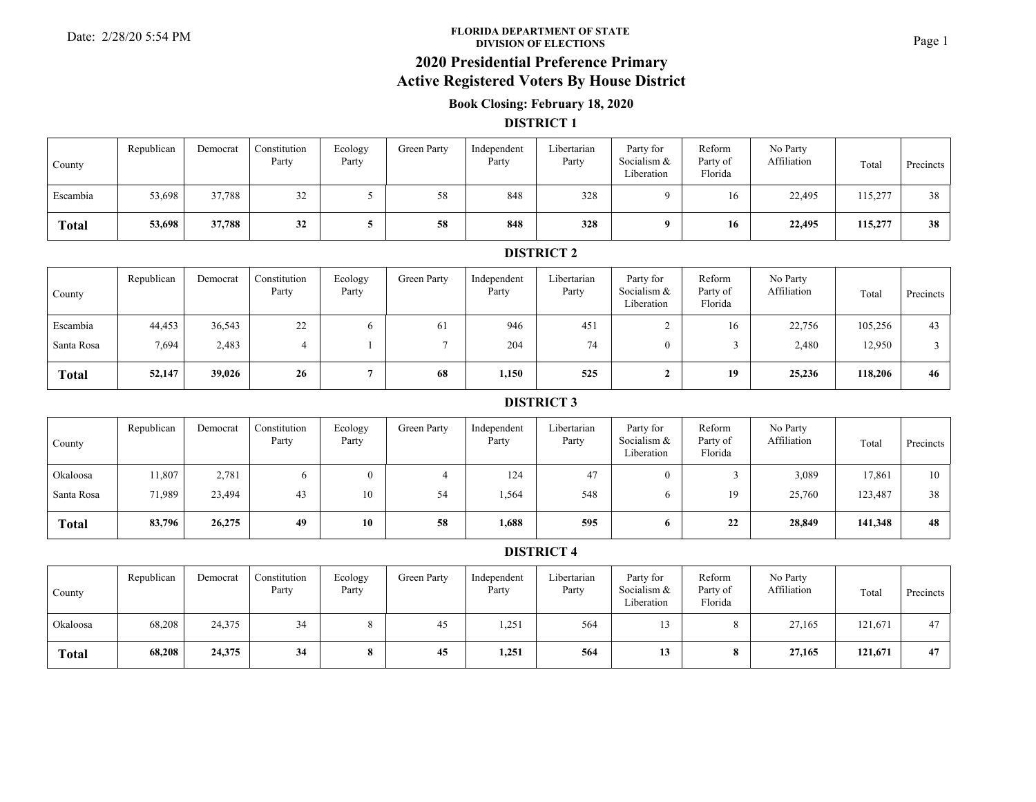#### **FLORIDA DEPARTMENT OF STATE**Date: 2/28/20 5:54 PM **Page 1**<br>DIVISION OF ELECTIONS

## **2020 Presidential Preference Primary**

### **Active Registered Voters By House District**

### **Book Closing: February 18, 2020**

#### **DISTRICT 1**

| County       | Republican | Democrat | Constitution<br>Party | Ecology<br>Party | Green Party | Independent<br>Party | Libertarian<br>Party | Party for<br>Socialism &<br>Liberation | Reform<br>Party of<br>Florida | No Party<br>Affiliation | Total   | Precincts |
|--------------|------------|----------|-----------------------|------------------|-------------|----------------------|----------------------|----------------------------------------|-------------------------------|-------------------------|---------|-----------|
| Escambia     | 53,698     | 37,788   | 32<br>ے ر             |                  | 58          | 848                  | 328                  |                                        | 16                            | 22,495                  | 115,277 | 38        |
| <b>Total</b> | 53,698     | 37,788   | 32                    |                  | 58          | 848                  | 328                  |                                        | 16                            | 22,495                  | 115,277 | 38        |

### **DISTRICT 2**

| County       | Republican | Democrat | Constitution<br>Party | Ecology<br>Party | Green Party | Independent<br>Party | Libertarian<br>Party | Party for<br>Socialism &<br>Liberation | Reform<br>Party of<br>Florida | No Party<br>Affiliation | Total   | Precincts |
|--------------|------------|----------|-----------------------|------------------|-------------|----------------------|----------------------|----------------------------------------|-------------------------------|-------------------------|---------|-----------|
| Escambia     | 44,453     | 36,543   | 22                    |                  | 61          | 946                  | 451                  |                                        | 16                            | 22,756                  | 105,256 | 43        |
| Santa Rosa   | 7,694      | 2,483    |                       |                  |             | 204                  | 74                   | 0                                      |                               | 2,480                   | 12,950  |           |
| <b>Total</b> | 52,147     | 39,026   | 26                    |                  | 68          | 1,150                | 525                  |                                        | 19                            | 25,236                  | 118,206 | 46        |

#### **DISTRICT 3**

| County       | Republican | Democrat | Constitution<br>Party | Ecology<br>Party | Green Party | Independent<br>Party | Libertarian<br>Party | Party for<br>Socialism &<br>Liberation | Reform<br>Party of<br>Florida | No Party<br>Affiliation | Total   | Precincts |
|--------------|------------|----------|-----------------------|------------------|-------------|----------------------|----------------------|----------------------------------------|-------------------------------|-------------------------|---------|-----------|
| Okaloosa     | 1,807      | 2,781    |                       |                  |             | 124                  | 47                   |                                        |                               | 3,089                   | 17,861  | 10        |
| Santa Rosa   | 71.989     | 23,494   | 43                    | 10               | 54          | 1,564                | 548                  |                                        | 19                            | 25,760                  | 123,487 | 38        |
| <b>Total</b> | 83,796     | 26,275   | 49                    | 10               | 58          | 1,688                | 595                  | 0                                      | 22                            | 28,849                  | 141,348 | 48        |

| County       | Republican | Democrat | Constitution<br>Party | Ecology<br>Party | Green Party | Independent<br>Party | Libertarian<br>Party | Party for<br>Socialism &<br>Liberation | Reform<br>Party of<br>Florida | No Party<br>Affiliation | Total   | Precincts |
|--------------|------------|----------|-----------------------|------------------|-------------|----------------------|----------------------|----------------------------------------|-------------------------------|-------------------------|---------|-----------|
| Okaloosa     | 68,208     | 24,375   | 34                    |                  | 45          | 1,251                | 564                  |                                        |                               | 27,165                  | 121,671 | 47        |
| <b>Total</b> | 68,208     | 24,375   | 34                    |                  | 45          | 1,251                | 564                  | 13                                     |                               | 27,165                  | 121,671 | 47        |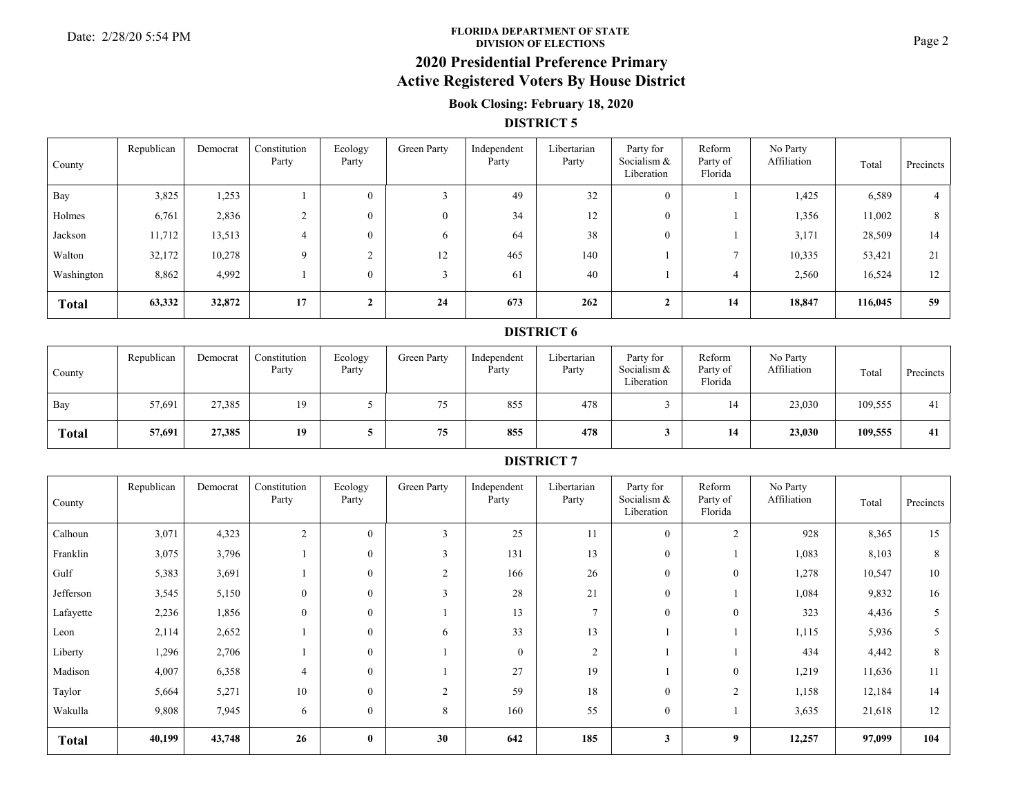#### **FLORIDA DEPARTMENT OF STATE**Date: 2/28/20 5:54 PM **Page 2**<br>DIVISION OF ELECTIONS

# **2020 Presidential Preference Primary**

# **Active Registered Voters By House District**

### **Book Closing: February 18, 2020**

#### **DISTRICT 5**

| County       | Republican | Democrat | Constitution<br>Party | Ecology<br>Party | Green Party | Independent<br>Party | Libertarian<br>Party | Party for<br>Socialism &<br>Liberation | Reform<br>Party of<br>Florida | No Party<br>Affiliation | Total   | Precincts |
|--------------|------------|----------|-----------------------|------------------|-------------|----------------------|----------------------|----------------------------------------|-------------------------------|-------------------------|---------|-----------|
| Bay          | 3,825      | 1,253    |                       | $\mathbf{0}$     |             | 49                   | 32                   | $\theta$                               |                               | 1,425                   | 6,589   |           |
| Holmes       | 6,761      | 2,836    |                       | $\mathbf{0}$     |             | 34                   | 12                   | $\Omega$                               |                               | 1,356                   | 11,002  | 8         |
| Jackson      | 11,712     | 13,513   |                       | $\bf{0}$         |             | 64                   | 38                   | $\theta$                               |                               | 3,171                   | 28,509  | 14        |
| Walton       | 32,172     | 10,278   | $\Omega$              |                  | 12          | 465                  | 140                  |                                        | $\overline{ }$                | 10,335                  | 53,421  | 21        |
| Washington   | 8,862      | 4,992    |                       | $\overline{0}$   |             | 61                   | 40                   |                                        |                               | 2,560                   | 16,524  | 12        |
| <b>Total</b> | 63,332     | 32,872   | 17                    |                  | 24          | 673                  | 262                  |                                        | 14                            | 18,847                  | 116,045 | 59        |

#### **DISTRICT 6**

| County       | Republican | Democrat | Constitution<br>Party | Ecology<br>Party | Green Party | Independent<br>Party | Libertarian<br>Party | Party for<br>Socialism &<br>Liberation | Reform<br>Party of<br>Florida | No Party<br>Affiliation | Total   | Precincts |
|--------------|------------|----------|-----------------------|------------------|-------------|----------------------|----------------------|----------------------------------------|-------------------------------|-------------------------|---------|-----------|
| Bay          | 57,691     | 27,385   | 19                    |                  | 75          | 855                  | 478                  |                                        | 14                            | 23,030                  | 109,555 |           |
| <b>Total</b> | 57,691     | 27,385   | 19                    |                  | 75          | 855                  | 478                  |                                        | 14                            | 23,030                  | 109,555 | 41        |

| County       | Republican | Democrat | Constitution<br>Party | Ecology<br>Party | Green Party  | Independent<br>Party | Libertarian<br>Party | Party for<br>Socialism &<br>Liberation | Reform<br>Party of<br>Florida | No Party<br>Affiliation | Total  | Precincts |
|--------------|------------|----------|-----------------------|------------------|--------------|----------------------|----------------------|----------------------------------------|-------------------------------|-------------------------|--------|-----------|
| Calhoun      | 3,071      | 4,323    | $\overline{c}$        | $\mathbf{0}$     | 3            | 25                   | 11                   | $\overline{0}$                         | $\overline{2}$                | 928                     | 8,365  | 15        |
| Franklin     | 3,075      | 3,796    |                       | $\overline{0}$   | $\mathbf{3}$ | 131                  | 13                   | $\overline{0}$                         |                               | 1,083                   | 8,103  | 8         |
| Gulf         | 5,383      | 3,691    |                       | $\mathbf{0}$     | 2            | 166                  | 26                   | $\theta$                               | $\overline{0}$                | 1,278                   | 10,547 | 10        |
| Jefferson    | 3,545      | 5,150    | $\overline{0}$        | $\theta$         | $\mathbf{3}$ | 28                   | 21                   | $\Omega$                               |                               | 1,084                   | 9,832  | 16        |
| Lafayette    | 2,236      | 1,856    | $\overline{0}$        | $\mathbf{0}$     |              | 13                   | $\overline{ }$       | $\theta$                               | $\overline{0}$                | 323                     | 4,436  | 5         |
| Leon         | 2,114      | 2,652    |                       | $\mathbf{0}$     | 6            | 33                   | 13                   |                                        |                               | 1,115                   | 5,936  | 5         |
| Liberty      | 1,296      | 2,706    |                       | $\theta$         |              | $\theta$             | 2                    |                                        |                               | 434                     | 4,442  | 8         |
| Madison      | 4,007      | 6,358    | 4                     | $\theta$         |              | 27                   | 19                   |                                        | $\Omega$                      | 1,219                   | 11,636 | 11        |
| Taylor       | 5,664      | 5,271    | 10                    | $\mathbf{0}$     | 2            | 59                   | 18                   | $\Omega$                               | $\overline{2}$                | 1,158                   | 12,184 | 14        |
| Wakulla      | 9,808      | 7,945    | 6                     | $\mathbf{0}$     | 8            | 160                  | 55                   | $\overline{0}$                         |                               | 3,635                   | 21,618 | 12        |
| <b>Total</b> | 40,199     | 43,748   | 26                    | $\bf{0}$         | 30           | 642                  | 185                  | $\mathbf{3}$                           | 9                             | 12,257                  | 97,099 | 104       |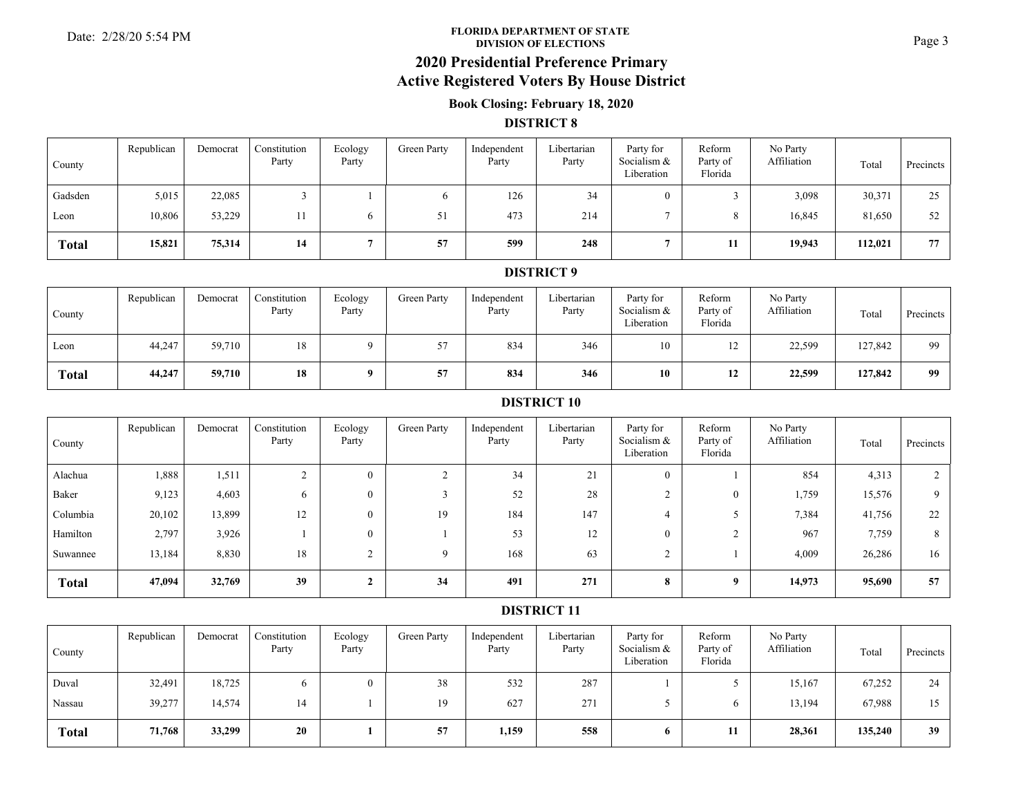#### **FLORIDA DEPARTMENT OF STATE**Date: 2/28/20 5:54 PM **Page 3**<br> **DIVISION OF ELECTIONS**

# **2020 Presidential Preference Primary**

## **Active Registered Voters By House District**

### **Book Closing: February 18, 2020**

#### **DISTRICT 8**

| County       | Republican | Democrat | Constitution<br>Party | Ecology<br>Party | Green Party | Independent<br>Party | Libertarian<br>Party | Party for<br>Socialism &<br>Liberation | Reform<br>Party of<br>Florida | No Party<br>Affiliation | Total   | Precincts |
|--------------|------------|----------|-----------------------|------------------|-------------|----------------------|----------------------|----------------------------------------|-------------------------------|-------------------------|---------|-----------|
| Gadsden      | 5,015      | 22,085   |                       |                  |             | 126                  | 34                   |                                        |                               | 3,098                   | 30,371  | 25        |
| Leon         | 10,806     | 53,229   |                       |                  | 51          | 473                  | 214                  |                                        |                               | 16,845                  | 81,650  | 52        |
| <b>Total</b> | 15,821     | 75,314   | 14                    |                  | 57          | 599                  | 248                  |                                        | 11                            | 19,943                  | 112,021 | 77        |

#### **DISTRICT 9**

| County       | Republican | Democrat | Constitution<br>Party | Ecology<br>Party | Green Party | Independent<br>Party | Libertarian<br>Party | Party for<br>Socialism &<br>Liberation | Reform<br>Party of<br>Florida | No Party<br>Affiliation | Total   | Precincts |
|--------------|------------|----------|-----------------------|------------------|-------------|----------------------|----------------------|----------------------------------------|-------------------------------|-------------------------|---------|-----------|
| Leon         | 44,247     | 59,710   | 18                    |                  | 57<br>، ب   | 834                  | 346                  | 10                                     | $\overline{1}$                | 22,599                  | 127,842 | 99        |
| <b>Total</b> | 44,247     | 59,710   | 18                    |                  | 57          | 834                  | 346                  | 10                                     | 12                            | 22,599                  | 127,842 | 99        |

#### **DISTRICT 10**

| County       | Republican | Democrat | Constitution<br>Party | Ecology<br>Party | Green Party | Independent<br>Party | Libertarian<br>Party | Party for<br>Socialism &<br>Liberation | Reform<br>Party of<br>Florida | No Party<br>Affiliation | Total  | Precincts |
|--------------|------------|----------|-----------------------|------------------|-------------|----------------------|----------------------|----------------------------------------|-------------------------------|-------------------------|--------|-----------|
| Alachua      | 1,888      | 1,511    |                       | $\overline{0}$   |             | 34                   | 21                   | $\theta$                               |                               | 854                     | 4,313  |           |
| Baker        | 9,123      | 4,603    | 6                     | $\Omega$         |             | 52                   | 28                   |                                        |                               | 1,759                   | 15,576 | Q         |
| Columbia     | 20,102     | 13,899   | 12                    | $\overline{0}$   | 19          | 184                  | 147                  |                                        |                               | 7,384                   | 41,756 | 22        |
| Hamilton     | 2,797      | 3,926    |                       | $\overline{0}$   |             | 53                   | 12                   | $\theta$                               | $\sim$                        | 967                     | 7,759  | 8         |
| Suwannee     | 13,184     | 8,830    | 18                    |                  |             | 168                  | 63                   |                                        |                               | 4,009                   | 26,286 | 16        |
| <b>Total</b> | 47,094     | 32,769   | 39                    |                  | 34          | 491                  | 271                  | 8                                      | 9                             | 14,973                  | 95,690 | 57        |

| County       | Republican | Democrat | Constitution<br>Party | Ecology<br>Party | Green Party | Independent<br>Party | Libertarian<br>Party | Party for<br>Socialism &<br>Liberation | Reform<br>Party of<br>Florida | No Party<br>Affiliation | Total   | Precincts |
|--------------|------------|----------|-----------------------|------------------|-------------|----------------------|----------------------|----------------------------------------|-------------------------------|-------------------------|---------|-----------|
| Duval        | 32,491     | 18,725   |                       | $\theta$         | 38          | 532                  | 287                  |                                        |                               | 15,167                  | 67,252  | 24        |
| Nassau       | 39,277     | 14,574   | 14                    |                  | 19          | 627                  | 271                  |                                        |                               | 13,194                  | 67,988  | 15        |
| <b>Total</b> | 71,768     | 33,299   | 20                    |                  | 57          | 1,159                | 558                  | 6.                                     | 11                            | 28,361                  | 135,240 | 39        |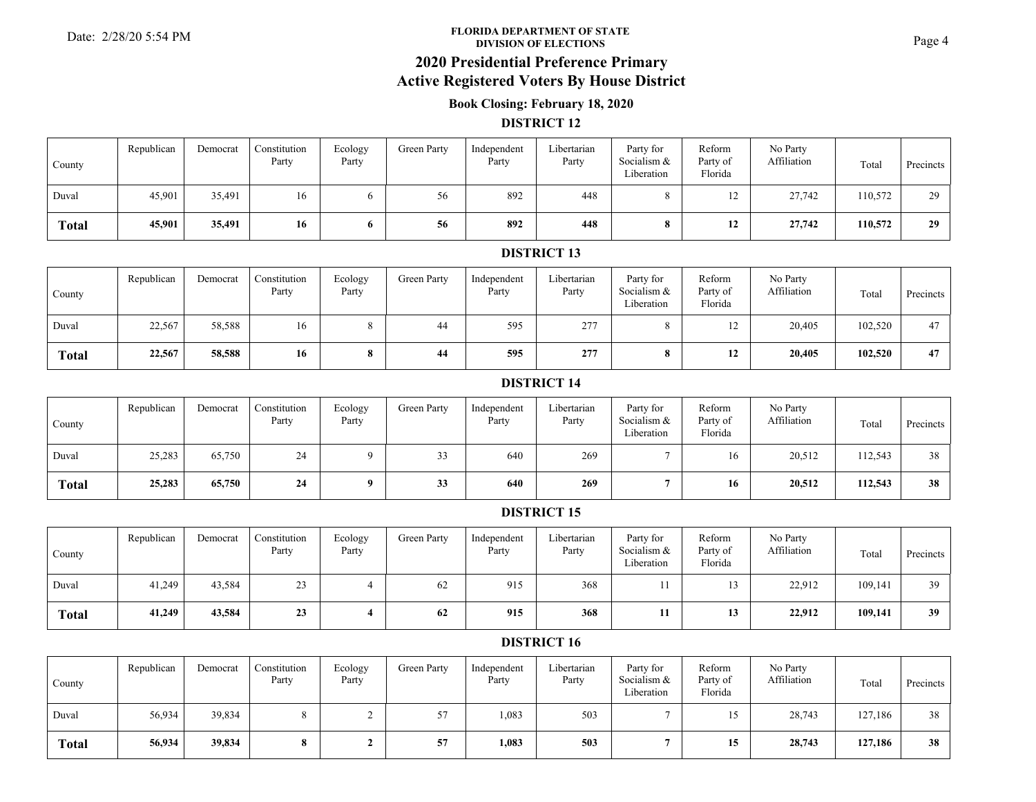#### **FLORIDA DEPARTMENT OF STATE**Date: 2/28/20 5:54 PM **Page 4**<br>DIVISION OF ELECTIONS

### **2020 Presidential Preference Primary**

### **Active Registered Voters By House District**

### **Book Closing: February 18, 2020**

#### **DISTRICT 12**

| County       | Republican | Democrat | Constitution<br>Party | Ecology<br>Party | Green Party | Independent<br>Party | Libertarian<br>Party | Party for<br>Socialism &<br>Liberation | Reform<br>Party of<br>Florida | No Party<br>Affiliation | Total   | Precincts |
|--------------|------------|----------|-----------------------|------------------|-------------|----------------------|----------------------|----------------------------------------|-------------------------------|-------------------------|---------|-----------|
| Duval        | 45,901     | 35,491   | 16                    |                  | 56          | 892                  | 448                  |                                        |                               | 27,742                  | 110,572 | 20        |
| <b>Total</b> | 45,901     | 35,491   | 16                    | o                | 56          | 892                  | 448                  |                                        | 12                            | 27,742                  | 110,572 | 29        |

### **DISTRICT 13**

| County       | Republican | Democrat | Constitution<br>Party | Ecology<br>Party | Green Party | Independent<br>Party | Libertarian<br>Party | Party for<br>Socialism &<br>Liberation | Reform<br>Party of<br>Florida | No Party<br>Affiliation | Total   | Precincts |
|--------------|------------|----------|-----------------------|------------------|-------------|----------------------|----------------------|----------------------------------------|-------------------------------|-------------------------|---------|-----------|
| Duval        | 22,567     | 58,588   | 16                    |                  | 44          | 595                  | 277                  |                                        | $1^{\circ}$<br>$\perp$        | 20,405                  | 102,520 | 47        |
| <b>Total</b> | 22,567     | 58,588   | 16                    | $\mathbf{o}$     | 44          | 595                  | 277                  |                                        | 12                            | 20,405                  | 102,520 | 47        |

#### **DISTRICT 14**

| County       | Republican | Democrat | Constitution<br>Party | Ecology<br>Party | Green Party  | Independent<br>Party | Libertarian<br>Party | Party for<br>Socialism &<br>Liberation | Reform<br>Party of<br>Florida | No Party<br>Affiliation | Total   | Precincts |
|--------------|------------|----------|-----------------------|------------------|--------------|----------------------|----------------------|----------------------------------------|-------------------------------|-------------------------|---------|-----------|
| Duval        | 25,283     | 65,750   | 24                    |                  | $\sim$<br>33 | 640                  | 269                  |                                        |                               | 20,512                  | 112,543 | 38        |
| <b>Total</b> | 25,283     | 65,750   | 24                    |                  | 33           | 640                  | 269                  |                                        | 16                            | 20,512                  | 112,543 | 38        |

### **DISTRICT 15**

| County       | Republican | Democrat | Constitution<br>Party | Ecology<br>Party | Green Party | Independent<br>Party | Libertarian<br>Party | Party for<br>Socialism &<br>Liberation | Reform<br>Party of<br>Florida | No Party<br>Affiliation | Total   | Precincts |
|--------------|------------|----------|-----------------------|------------------|-------------|----------------------|----------------------|----------------------------------------|-------------------------------|-------------------------|---------|-----------|
| Duval        | 41,249     | 43,584   | 23                    |                  | 62          | 915                  | 368                  |                                        |                               | 22,912                  | 109,141 | 39        |
| <b>Total</b> | 41,249     | 43,584   | 23                    |                  | 62          | 915                  | 368                  |                                        | ıν                            | 22,912                  | 109,141 | 39        |

| County       | Republican | Democrat | Constitution<br>Party | Ecology<br>Party | Green Party | Independent<br>Party | Libertarian<br>Party | Party for<br>Socialism &<br>Liberation | Reform<br>Party of<br>Florida | No Party<br>Affiliation | Total   | Precincts |
|--------------|------------|----------|-----------------------|------------------|-------------|----------------------|----------------------|----------------------------------------|-------------------------------|-------------------------|---------|-----------|
| Duval        | 56,934     | 39,834   |                       |                  | 57<br>ا ب   | 1,083                | 503                  |                                        |                               | 28,743                  | 127,186 | 38        |
| <b>Total</b> | 56,934     | 39,834   |                       |                  | 57          | 1,083                | 503                  |                                        | 15.<br>ιJ                     | 28,743                  | 127,186 | 38        |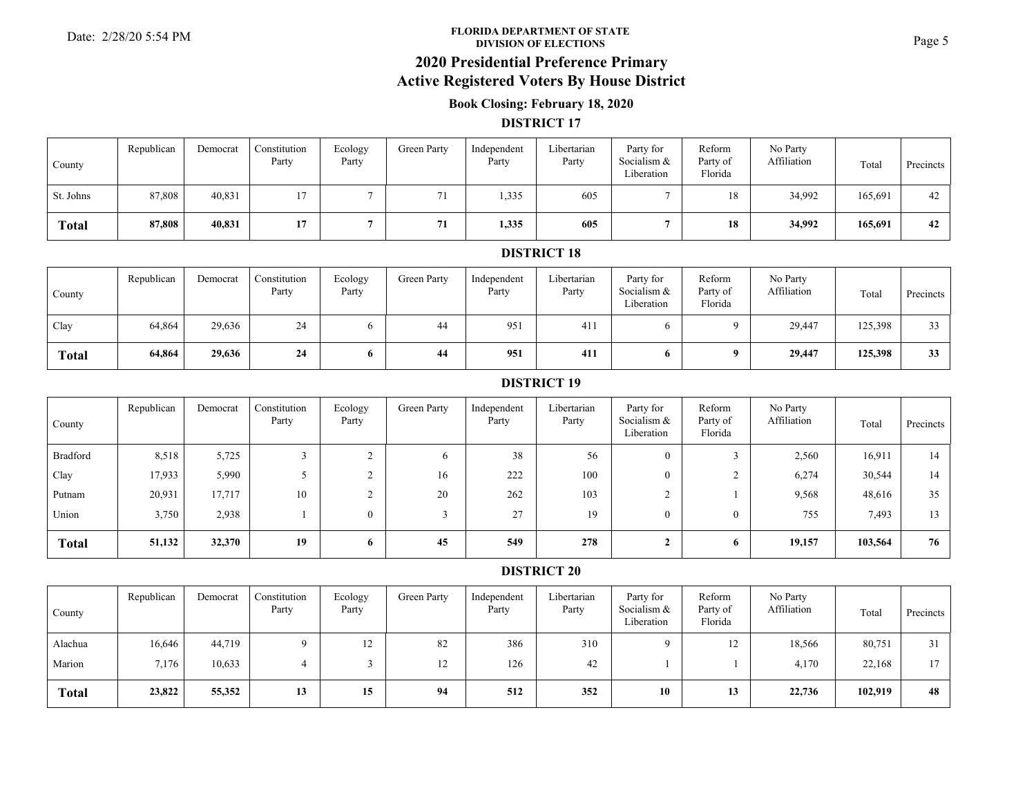#### **FLORIDA DEPARTMENT OF STATE**Date: 2/28/20 5:54 PM **Page 5**<br>DIVISION OF ELECTIONS

## **2020 Presidential Preference Primary**

### **Active Registered Voters By House District**

### **Book Closing: February 18, 2020**

#### **DISTRICT 17**

| County       | Republican | Democrat | Constitution<br>Party | Ecology<br>Party | Green Party | Independent<br>Party | Libertarian<br>Party | Party for<br>Socialism &<br>Liberation | Reform<br>Party of<br>Florida | No Party<br>Affiliation | Total   | Precincts |
|--------------|------------|----------|-----------------------|------------------|-------------|----------------------|----------------------|----------------------------------------|-------------------------------|-------------------------|---------|-----------|
| St. Johns    | 87,808     | 40,831   | 17                    |                  | 71          | 1,335                | 605                  |                                        | 18                            | 34,992                  | 165,691 | 42        |
| <b>Total</b> | 87,808     | 40,831   | 17                    |                  | 71          | 1,335                | 605                  |                                        | 18                            | 34,992                  | 165,691 | 42        |

#### **DISTRICT 18**

| County       | Republican | Democrat | Constitution<br>Party | Ecology<br>Party | Green Party | Independent<br>Party | Libertarian<br>Party | Party for<br>Socialism &<br>Liberation | Reform<br>Party of<br>Florida | No Party<br>Affiliation | Total   | Precincts |
|--------------|------------|----------|-----------------------|------------------|-------------|----------------------|----------------------|----------------------------------------|-------------------------------|-------------------------|---------|-----------|
| Clay         | 64,864     | 29,636   | 24                    |                  | 44          | 951                  | 411                  |                                        |                               | 29,447                  | 125,398 | 33        |
| <b>Total</b> | 64,864     | 29,636   | 24                    |                  | 44          | 951                  | 411                  | 6.                                     |                               | 29,447                  | 125,398 | 33        |

#### **DISTRICT 19**

| County       | Republican | Democrat | Constitution<br>Party | Ecology<br>Party | Green Party | Independent<br>Party | Libertarian<br>Party | Party for<br>Socialism &<br>Liberation | Reform<br>Party of<br>Florida | No Party<br>Affiliation | Total   | Precincts |
|--------------|------------|----------|-----------------------|------------------|-------------|----------------------|----------------------|----------------------------------------|-------------------------------|-------------------------|---------|-----------|
| Bradford     | 8,518      | 5,725    |                       |                  | 6           | 38                   | 56                   | $\theta$                               |                               | 2,560                   | 16,911  | 14        |
| Clay         | 17,933     | 5,990    |                       |                  | 16          | 222                  | 100                  | 0                                      |                               | 6,274                   | 30,544  | 14        |
| Putnam       | 20,931     | 17,717   | 10                    |                  | 20          | 262                  | 103                  |                                        |                               | 9,568                   | 48,616  | 35        |
| Union        | 3,750      | 2,938    |                       |                  |             | 27                   | 19                   | 0                                      | $\left( \right)$              | 755                     | 7,493   | 13        |
| <b>Total</b> | 51,132     | 32,370   | 19                    | $\mathbf{p}$     | 45          | 549                  | 278                  |                                        | 6                             | 19,157                  | 103,564 | 76        |

| County       | Republican | Democrat | Constitution<br>Party | Ecology<br>Party | Green Party | Independent<br>Party | Libertarian<br>Party | Party for<br>Socialism &<br>Liberation | Reform<br>Party of<br>Florida | No Party<br>Affiliation | Total   | Precincts |
|--------------|------------|----------|-----------------------|------------------|-------------|----------------------|----------------------|----------------------------------------|-------------------------------|-------------------------|---------|-----------|
| Alachua      | 16,646     | 44,719   |                       | 12               | 82          | 386                  | 310                  |                                        | 14                            | 18,566                  | 80,751  |           |
| Marion       | 7,176      | 10,633   |                       |                  | 12          | 126                  | 42                   |                                        |                               | 4.170                   | 22,168  | 17        |
| <b>Total</b> | 23,822     | 55,352   | 13                    | 15               | 94          | 512                  | 352                  | 10                                     | 13                            | 22,736                  | 102,919 | 48        |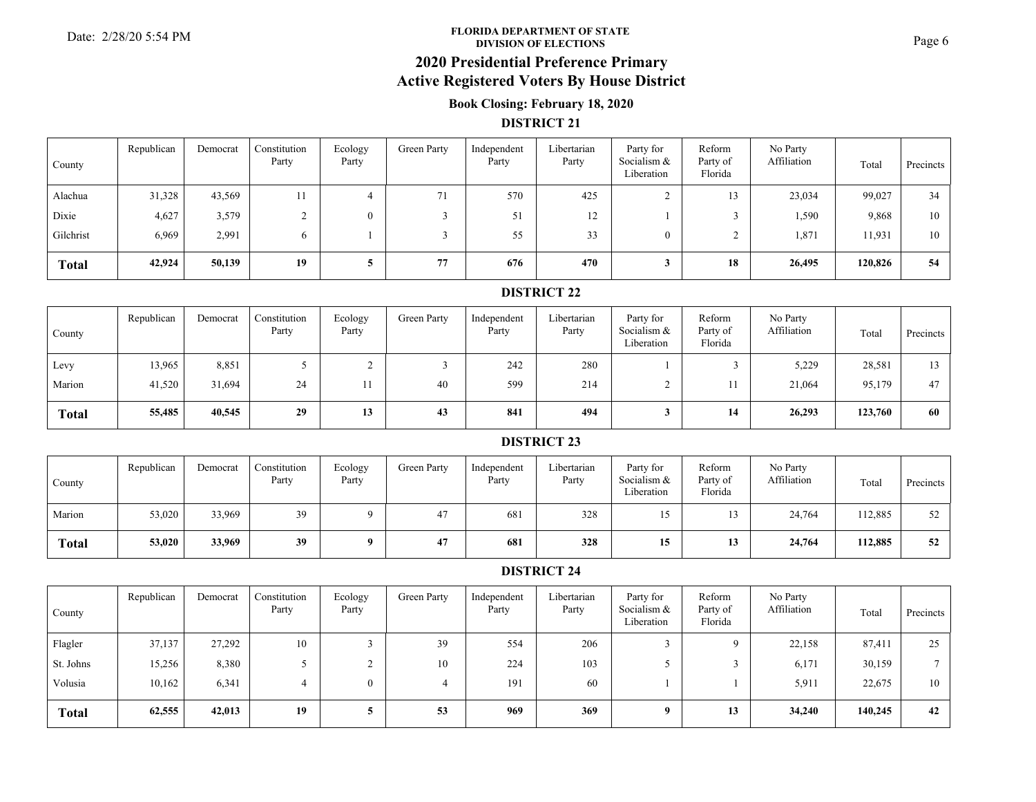#### **FLORIDA DEPARTMENT OF STATE**Date: 2/28/20 5:54 PM **Page 6**<br>DIVISION OF ELECTIONS

# **2020 Presidential Preference Primary**

## **Active Registered Voters By House District**

### **Book Closing: February 18, 2020**

#### **DISTRICT 21**

| County       | Republican | Democrat | Constitution<br>Party | Ecology<br>Party | Green Party | Independent<br>Party | Libertarian<br>Party | Party for<br>Socialism &<br>Liberation | Reform<br>Party of<br>Florida | No Party<br>Affiliation | Total   | Precincts |
|--------------|------------|----------|-----------------------|------------------|-------------|----------------------|----------------------|----------------------------------------|-------------------------------|-------------------------|---------|-----------|
| Alachua      | 31,328     | 43,569   | 11                    | 4                | 71          | 570                  | 425                  |                                        | 13                            | 23,034                  | 99,027  | 34        |
| Dixie        | 4,627      | 3,579    |                       |                  |             | 51                   | 12                   |                                        |                               | 1,590                   | 9,868   | 10        |
| Gilchrist    | 6,969      | 2,991    | 6                     |                  |             | 55                   | 33                   |                                        |                               | 1,871                   | 11,931  | 10        |
| <b>Total</b> | 42,924     | 50,139   | 19                    |                  | 77          | 676                  | 470                  |                                        | 18                            | 26,495                  | 120,826 | 54        |

### **DISTRICT 22**

| County       | Republican | Democrat | Constitution<br>Party | Ecology<br>Party | Green Party | Independent<br>Party | Libertarian<br>Party | Party for<br>Socialism &<br>Liberation | Reform<br>Party of<br>Florida | No Party<br>Affiliation | Total   | Precincts |
|--------------|------------|----------|-----------------------|------------------|-------------|----------------------|----------------------|----------------------------------------|-------------------------------|-------------------------|---------|-----------|
| Levy         | 13,965     | 8,851    |                       |                  |             | 242                  | 280                  |                                        |                               | 5,229                   | 28,581  | 13        |
| Marion       | 41,520     | 31,694   | 24                    |                  | 40          | 599                  | 214                  |                                        |                               | 21,064                  | 95,179  | 47        |
| <b>Total</b> | 55,485     | 40,545   | 29                    | 13               | 43          | 841                  | 494                  |                                        | 14                            | 26,293                  | 123,760 | 60        |

#### **DISTRICT 23**

| County       | Republican | Democrat | Constitution<br>Party | Ecology<br>Party | Green Party | Independent<br>Party | Libertarian<br>Party | Party for<br>Socialism &<br>Liberation | Reform<br>Party of<br>Florida | No Party<br>Affiliation | Total   | Precincts |
|--------------|------------|----------|-----------------------|------------------|-------------|----------------------|----------------------|----------------------------------------|-------------------------------|-------------------------|---------|-----------|
| Marion       | 53,020     | 33,969   | 39                    |                  | 47          | 681                  | 328                  |                                        |                               | 24,764                  | 112,885 | 52        |
| <b>Total</b> | 53,020     | 33,969   | 39                    | $\mathbf{o}$     | 47          | 681                  | 328                  | 15                                     | 13                            | 24,764                  | 112,885 | 52        |

| County       | Republican | Democrat | Constitution<br>Party | Ecology<br>Party | Green Party | Independent<br>Party | Libertarian<br>Party | Party for<br>Socialism &<br>Liberation | Reform<br>Party of<br>Florida | No Party<br>Affiliation | Total   | Precincts |
|--------------|------------|----------|-----------------------|------------------|-------------|----------------------|----------------------|----------------------------------------|-------------------------------|-------------------------|---------|-----------|
| Flagler      | 37,137     | 27,292   | 10                    |                  | 39          | 554                  | 206                  |                                        |                               | 22,158                  | 87,411  | 25        |
| St. Johns    | 15,256     | 8,380    |                       |                  | 10          | 224                  | 103                  |                                        |                               | 6,171                   | 30,159  |           |
| Volusia      | 10,162     | 6,341    | 4                     |                  |             | 191                  | 60                   |                                        |                               | 5,911                   | 22,675  | 10        |
| <b>Total</b> | 62,555     | 42,013   | 19                    |                  | 53          | 969                  | 369                  | $\mathbf{o}$                           | 13                            | 34,240                  | 140,245 | 42        |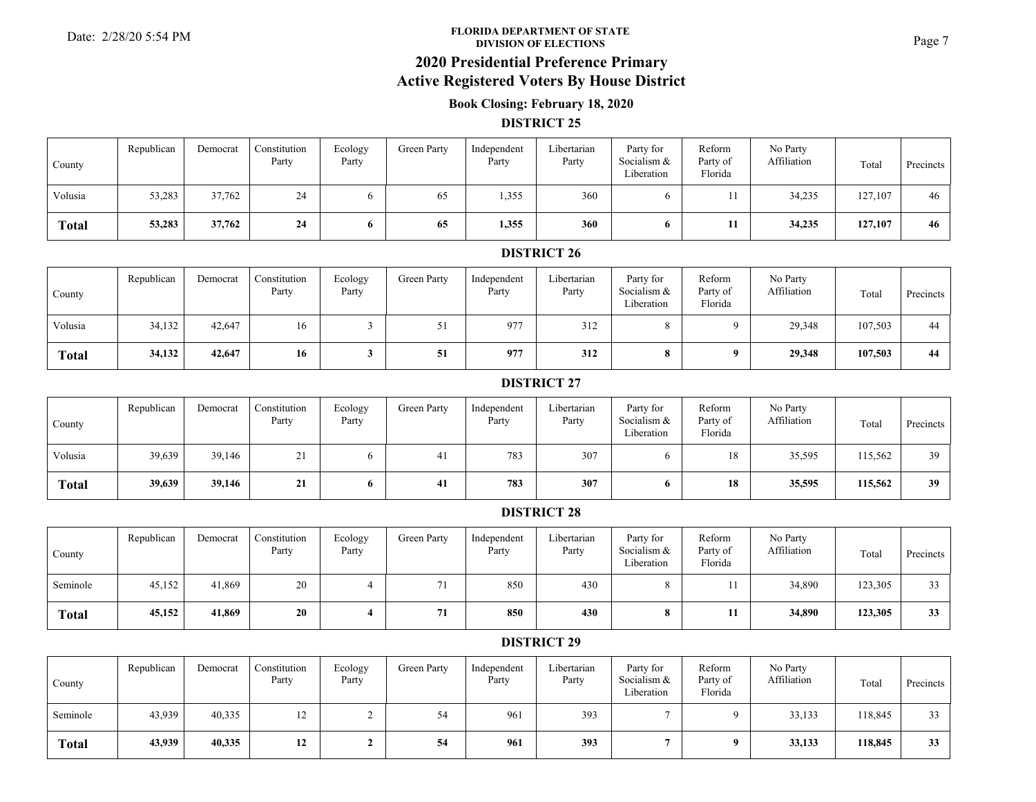#### **FLORIDA DEPARTMENT OF STATE**Date: 2/28/20 5:54 PM **Page 7**<br>DIVISION OF ELECTIONS

## **2020 Presidential Preference Primary**

### **Active Registered Voters By House District**

### **Book Closing: February 18, 2020**

#### **DISTRICT 25**

| County       | Republican | Democrat | Constitution<br>Party | Ecology<br>Party | Green Party | Independent<br>Party | Libertarian<br>Party | Party for<br>Socialism &<br>Liberation | Reform<br>Party of<br>Florida | No Party<br>Affiliation | Total   | Precincts |
|--------------|------------|----------|-----------------------|------------------|-------------|----------------------|----------------------|----------------------------------------|-------------------------------|-------------------------|---------|-----------|
| Volusia      | 53,283     | 37,762   | 24                    |                  | 65          | 1,355                | 360                  |                                        |                               | 34,235                  | 127,107 | 46        |
| <b>Total</b> | 53,283     | 37,762   | 24                    |                  | 65          | 1,355                | 360                  | O.                                     | 11                            | 34,235                  | 127,107 | 46        |

### **DISTRICT 26**

| County       | Republican | Democrat | Constitution<br>Party | Ecology<br>Party | Green Party | Independent<br>Party | Libertarian<br>Party | Party for<br>Socialism &<br>Liberation | Reform<br>Party of<br>Florida | No Party<br>Affiliation | Total   | Precincts |
|--------------|------------|----------|-----------------------|------------------|-------------|----------------------|----------------------|----------------------------------------|-------------------------------|-------------------------|---------|-----------|
| Volusia      | 34,132     | 42,647   | 16                    |                  | ہ ر         | 977                  | 312                  |                                        |                               | 29,348                  | 107,503 | 44        |
| <b>Total</b> | 34,132     | 42,647   | 16                    |                  | 51          | 977                  | 312                  |                                        |                               | 29,348                  | 107,503 | 44        |

#### **DISTRICT 27**

| County       | Republican | Democrat | Constitution<br>Party | Ecology<br>Party | Green Party | Independent<br>Party | Libertarian<br>Party | Party for<br>Socialism &<br>Liberation | Reform<br>Party of<br>Florida | No Party<br>Affiliation | Total   | Precincts |
|--------------|------------|----------|-----------------------|------------------|-------------|----------------------|----------------------|----------------------------------------|-------------------------------|-------------------------|---------|-----------|
| Volusia      | 39,639     | 39,146   | $\mathbf{r}$<br>∠⊥    |                  | -41         | 783                  | 307                  |                                        | 18                            | 35,595                  | 115,562 | 39        |
| <b>Total</b> | 39,639     | 39,146   | 21                    |                  | 41          | 783                  | 307                  |                                        | 18                            | 35,595                  | 115,562 | 39        |

#### **DISTRICT 28**

| County       | Republican | Democrat | Constitution<br>Party | Ecology<br>Party | Green Party | Independent<br>Party | Libertarian<br>Party | Party for<br>Socialism &<br>Liberation | Reform<br>Party of<br>Florida | No Party<br>Affiliation | Total   | Precincts |
|--------------|------------|----------|-----------------------|------------------|-------------|----------------------|----------------------|----------------------------------------|-------------------------------|-------------------------|---------|-----------|
| Seminole     | 45,152     | 41,869   | 20                    |                  | 71          | 850                  | 430                  |                                        |                               | 34,890                  | 123,305 | 33        |
| <b>Total</b> | 45,152     | 41,869   | 20                    |                  | 71          | 850                  | 430                  |                                        | 11                            | 34,890                  | 123,305 | 33        |

| County       | Republican | Democrat | Constitution<br>Party | Ecology<br>Party | Green Party | Independent<br>Party | Libertarian<br>Party | Party for<br>Socialism &<br>Liberation | Reform<br>Party of<br>Florida | No Party<br>Affiliation | Total   | Precincts |
|--------------|------------|----------|-----------------------|------------------|-------------|----------------------|----------------------|----------------------------------------|-------------------------------|-------------------------|---------|-----------|
| Seminole     | 43,939     | 40,335   | 12                    |                  | 54          | 961                  | 393                  |                                        |                               | 33,133                  | 118,845 | 33        |
| <b>Total</b> | 43,939     | 40,335   | 12                    |                  | 54          | 961                  | 393                  |                                        |                               | 33,133                  | 118,845 | 33        |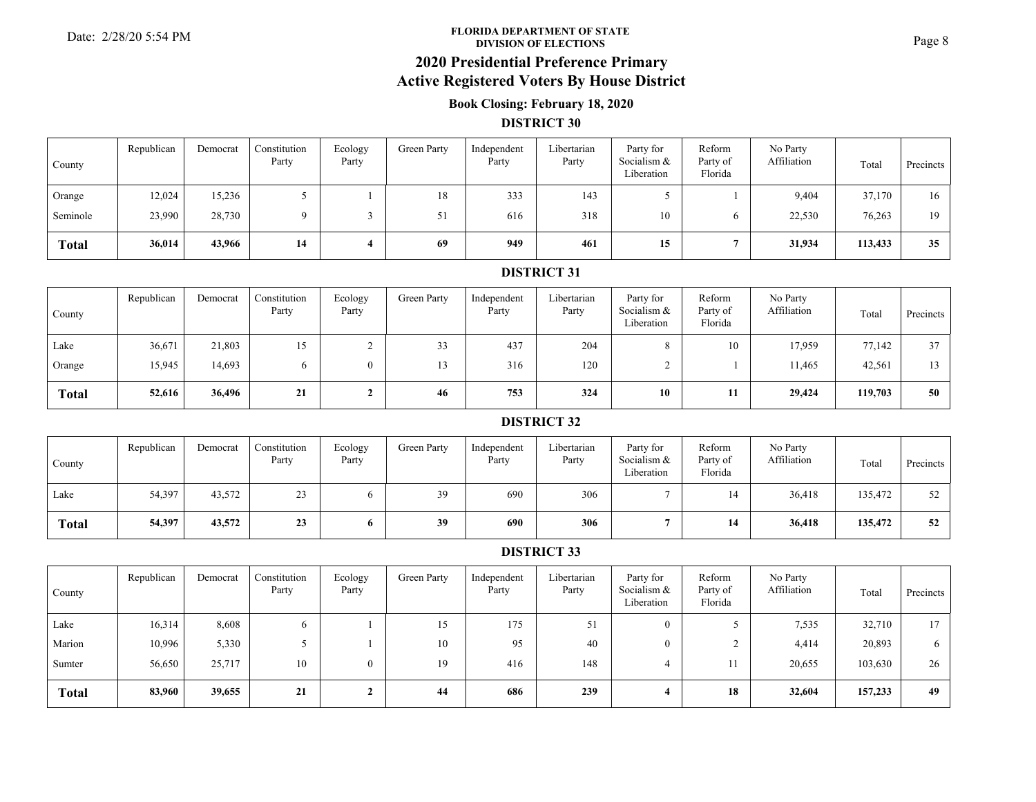#### **FLORIDA DEPARTMENT OF STATE**Date: 2/28/20 5:54 PM **Page 8**<br>DIVISION OF ELECTIONS

# **2020 Presidential Preference Primary**

## **Active Registered Voters By House District**

### **Book Closing: February 18, 2020**

#### **DISTRICT 30**

| County       | Republican | Democrat | Constitution<br>Party | Ecology<br>Party | Green Party | Independent<br>Party | Libertarian<br>Party | Party for<br>Socialism &<br>Liberation | Reform<br>Party of<br>Florida | No Party<br>Affiliation | Total   | Precincts |
|--------------|------------|----------|-----------------------|------------------|-------------|----------------------|----------------------|----------------------------------------|-------------------------------|-------------------------|---------|-----------|
| Orange       | 12,024     | 15,236   |                       |                  | 18          | 333                  | 143                  |                                        |                               | 9,404                   | 37,170  | 16        |
| Seminole     | 23,990     | 28,730   |                       |                  | 51          | 616                  | 318                  | 10                                     |                               | 22,530                  | 76,263  | 19        |
| <b>Total</b> | 36,014     | 43,966   | 14                    |                  | 69          | 949                  | 461                  | 15                                     |                               | 31,934                  | 113,433 | 35        |

#### **DISTRICT 31**

| County       | Republican | Democrat | Constitution<br>Party | Ecology<br>Party | Green Party | Independent<br>Party | Libertarian<br>Party | Party for<br>Socialism &<br>Liberation | Reform<br>Party of<br>Florida | No Party<br>Affiliation | Total   | Precincts |
|--------------|------------|----------|-----------------------|------------------|-------------|----------------------|----------------------|----------------------------------------|-------------------------------|-------------------------|---------|-----------|
| Lake         | 36,671     | 21,803   | 15<br>. J             |                  | 33          | 437                  | 204                  |                                        | 10                            | 17,959                  | 77,142  | 37        |
| Orange       | 15,945     | 14,693   | 6                     |                  | 13          | 316                  | 120                  |                                        |                               | 1,465                   | 42,561  | 13.       |
| <b>Total</b> | 52,616     | 36,496   | 21                    |                  | 46          | 753                  | 324                  | 10                                     |                               | 29,424                  | 119,703 | 50        |

#### **DISTRICT 32**

| County | Republican | Democrat | Constitution<br>Party | Ecology<br>Party | Green Party | Independent<br>Party | Libertarian<br>Party | Party for<br>Socialism &<br>Liberation | Reform<br>Party of<br>Florida | No Party<br>Affiliation | Total   | Precincts |
|--------|------------|----------|-----------------------|------------------|-------------|----------------------|----------------------|----------------------------------------|-------------------------------|-------------------------|---------|-----------|
| Lake   | 54,397     | 43,572   | 23                    |                  | 39          | 690                  | 306                  |                                        |                               | 36,418                  | 135,472 | 52        |
| Total  | 54,397     | 43,572   | 23                    |                  | 39          | 690                  | 306                  |                                        | 14                            | 36,418                  | 135,472 | 52        |

| County       | Republican | Democrat | Constitution<br>Party | Ecology<br>Party | Green Party | Independent<br>Party | Libertarian<br>Party | Party for<br>Socialism &<br>Liberation | Reform<br>Party of<br>Florida | No Party<br>Affiliation | Total   | Precincts    |
|--------------|------------|----------|-----------------------|------------------|-------------|----------------------|----------------------|----------------------------------------|-------------------------------|-------------------------|---------|--------------|
| Lake         | 16,314     | 8,608    |                       |                  | 15          | 175                  | 51                   | $\theta$                               |                               | 7,535                   | 32,710  | 17           |
| Marion       | 10,996     | 5,330    |                       |                  | 10          | 95                   | 40                   | $\Omega$                               |                               | 4,414                   | 20,893  | <sub>0</sub> |
| Sumter       | 56,650     | 25,717   | 10                    | $\overline{0}$   | 19          | 416                  | 148                  |                                        |                               | 20,655                  | 103,630 | 26           |
| <b>Total</b> | 83,960     | 39,655   | 21                    |                  | 44          | 686                  | 239                  |                                        | 18                            | 32,604                  | 157,233 | 49           |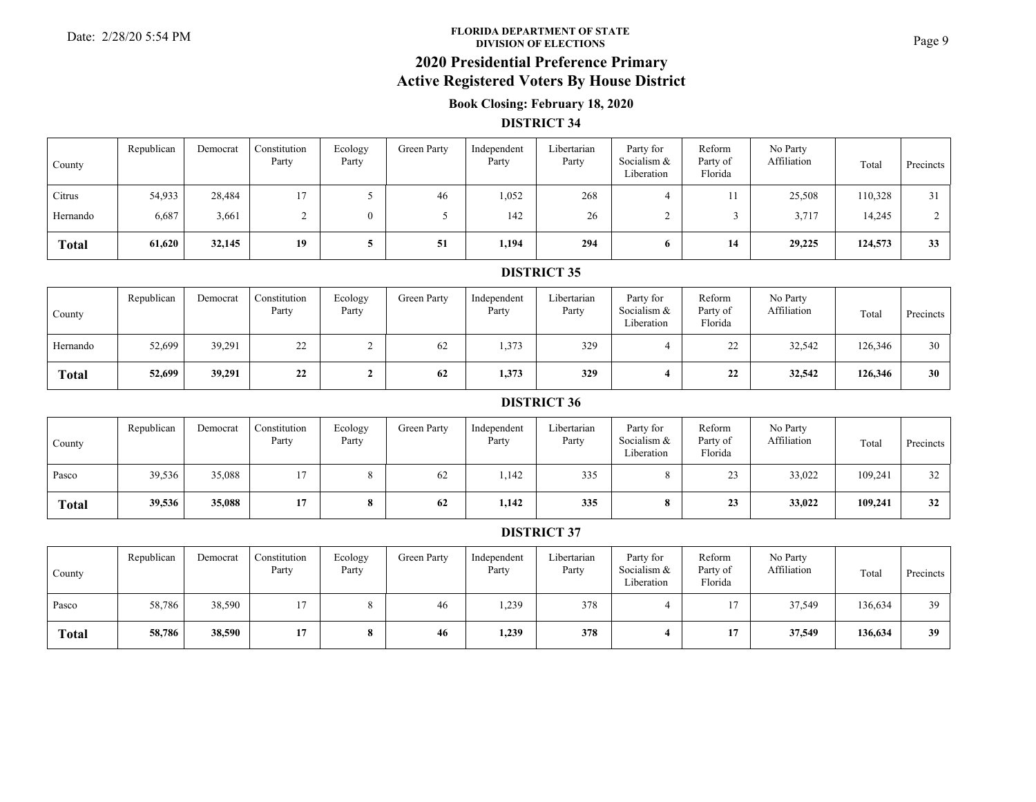#### **FLORIDA DEPARTMENT OF STATE**Date: 2/28/20 5:54 PM **Page 9**<br>DIVISION OF ELECTIONS

# **2020 Presidential Preference Primary**

## **Active Registered Voters By House District**

### **Book Closing: February 18, 2020**

#### **DISTRICT 34**

| County       | Republican | Democrat | Constitution<br>Party | Ecology<br>Party | Green Party | Independent<br>Party | Libertarian<br>Party | Party for<br>Socialism &<br>Liberation | Reform<br>Party of<br>Florida | No Party<br>Affiliation | Total   | Precincts |
|--------------|------------|----------|-----------------------|------------------|-------------|----------------------|----------------------|----------------------------------------|-------------------------------|-------------------------|---------|-----------|
| Citrus       | 54,933     | 28,484   | 17                    |                  | 46          | 1,052                | 268                  |                                        |                               | 25,508                  | 110,328 | 31        |
| Hernando     | 6,687      | 3,661    |                       | $\theta$         |             | 142                  | 26                   |                                        |                               | 3,717                   | 14,245  |           |
| <b>Total</b> | 61,620     | 32,145   | 19                    |                  | 51          | 1,194                | 294                  |                                        | 14                            | 29,225                  | 124,573 | 33        |

#### **DISTRICT 35**

| County       | Republican | Democrat | Constitution<br>Party | Ecology<br>Party | Green Party | Independent<br>Party | Libertarian<br>Party | Party for<br>Socialism &<br>Liberation | Reform<br>Party of<br>Florida | No Party<br>Affiliation | Total   | Precincts |
|--------------|------------|----------|-----------------------|------------------|-------------|----------------------|----------------------|----------------------------------------|-------------------------------|-------------------------|---------|-----------|
| Hernando     | 52,699     | 39,291   | 22                    |                  | 62          | 1,373                | 329                  |                                        | $\sim$<br>∠∠                  | 32,542                  | 126,346 | 30        |
| <b>Total</b> | 52,699     | 39,291   | 22                    |                  | 62          | 1,373                | 329                  |                                        | 22<br>44                      | 32,542                  | 126,346 | 30        |

#### **DISTRICT 36**

| County       | Republican | Democrat | Constitution<br>Party | Ecology<br>Party | Green Party | Independent<br>Party | Libertarian<br>Party | Party for<br>Socialism &<br>Liberation | Reform<br>Party of<br>Florida | No Party<br>Affiliation | Total   | Precincts |
|--------------|------------|----------|-----------------------|------------------|-------------|----------------------|----------------------|----------------------------------------|-------------------------------|-------------------------|---------|-----------|
| Pasco        | 39,536     | 35,088   | 17                    |                  | 62          | 1,142                | 335                  |                                        | $2^{\circ}$<br>ر ے            | 33,022                  | 109,241 | 32        |
| <b>Total</b> | 39,536     | 35,088   | 17                    |                  | 62          | 1,142                | 335                  |                                        | 23                            | 33,022                  | 109,241 | 32        |

| County       | Republican | Democrat | Constitution<br>Party | Ecology<br>Party | Green Party | Independent<br>Party | Libertarian<br>Party | Party for<br>Socialism &<br>Liberation | Reform<br>Party of<br>Florida | No Party<br>Affiliation | Total   | Precincts |
|--------------|------------|----------|-----------------------|------------------|-------------|----------------------|----------------------|----------------------------------------|-------------------------------|-------------------------|---------|-----------|
| Pasco        | 58,786     | 38,590   | 17                    |                  | 46          | 1,239                | 378                  |                                        |                               | 37,549                  | 136,634 | 39        |
| <b>Total</b> | 58,786     | 38,590   | 17                    |                  | 46          | 1,239                | 378                  |                                        |                               | 37,549                  | 136,634 | 39        |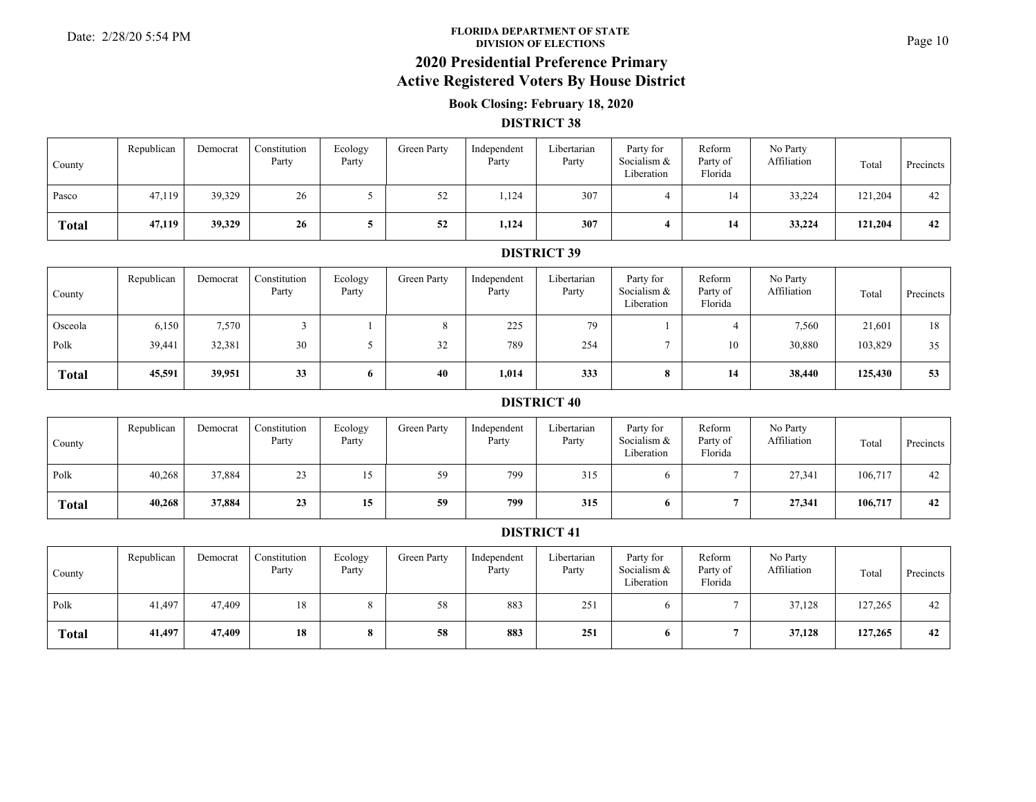#### **FLORIDA DEPARTMENT OF STATE**Date: 2/28/20 5:54 PM **Page 10**<br>DIVISION OF ELECTIONS

# **2020 Presidential Preference Primary**

## **Active Registered Voters By House District**

### **Book Closing: February 18, 2020**

#### **DISTRICT 38**

| County       | Republican | Democrat | Constitution<br>Party | Ecology<br>Party | <b>Green Party</b> | Independent<br>Party | Libertarian<br>Party | Party for<br>Socialism &<br>Liberation | Reform<br>Party of<br>Florida | No Party<br>Affiliation | Total   | Precincts |
|--------------|------------|----------|-----------------------|------------------|--------------------|----------------------|----------------------|----------------------------------------|-------------------------------|-------------------------|---------|-----------|
| Pasco        | 47,119     | 39,329   | 26                    |                  | 52                 | 1,124                | 307                  |                                        |                               | 33,224                  | 121,204 | 42        |
| <b>Total</b> | 47,119     | 39,329   | 26                    |                  | 52                 | 1,124                | 307                  |                                        | 14                            | 33,224                  | 121,204 | 42        |

#### **DISTRICT 39**

| County       | Republican | Democrat | Constitution<br>Party | Ecology<br>Party | Green Party  | Independent<br>Party | Libertarian<br>Party | Party for<br>Socialism &<br>Liberation | Reform<br>Party of<br>Florida | No Party<br>Affiliation | Total   | Precincts |
|--------------|------------|----------|-----------------------|------------------|--------------|----------------------|----------------------|----------------------------------------|-------------------------------|-------------------------|---------|-----------|
| Osceola      | 6,150      | 7,570    |                       |                  |              | 225                  | 79                   |                                        |                               | 7,560                   | 21,601  | 18        |
| Polk         | 39,441     | 32,381   | 30                    |                  | $\sim$<br>32 | 789                  | 254                  |                                        | 10                            | 30,880                  | 103,829 | 35        |
| <b>Total</b> | 45,591     | 39,951   | 33                    | $\mathbf{o}$     | 40           | 1,014                | 333                  |                                        | 14                            | 38,440                  | 125,430 | 53        |

#### **DISTRICT 40**

| County       | Republican | Democrat | Constitution<br>Party | Ecology<br>Party               | Green Party | Independent<br>Party | Libertarian<br>Party | Party for<br>Socialism &<br>Liberation | Reform<br>Party of<br>Florida | No Party<br>Affiliation | Total   | Precincts |
|--------------|------------|----------|-----------------------|--------------------------------|-------------|----------------------|----------------------|----------------------------------------|-------------------------------|-------------------------|---------|-----------|
| Polk         | 40,268     | 37,884   | 23                    | 1ء<br>$\overline{\phantom{0}}$ | 59          | 799                  | 315                  |                                        |                               | 27,341                  | 106,717 | 42        |
| <b>Total</b> | 40,268     | 37,884   | 23                    | 15                             | 59          | 799                  | 315                  |                                        |                               | 27,341                  | 106,717 | 42        |

| County       | Republican | Democrat | Constitution<br>Party | Ecology<br>Party | Green Party | Independent<br>Party | Libertarian<br>Party | Party for<br>Socialism &<br>Liberation | Reform<br>Party of<br>Florida | No Party<br>Affiliation | Total   | Precincts |
|--------------|------------|----------|-----------------------|------------------|-------------|----------------------|----------------------|----------------------------------------|-------------------------------|-------------------------|---------|-----------|
| Polk         | 41,497     | 47,409   | 18                    |                  | 58          | 883                  | 251                  |                                        |                               | 37,128                  | 127,265 | 42        |
| <b>Total</b> | 41,497     | 47,409   | 18                    | o                | 58          | 883                  | 251                  |                                        |                               | 37,128                  | 127,265 | 42        |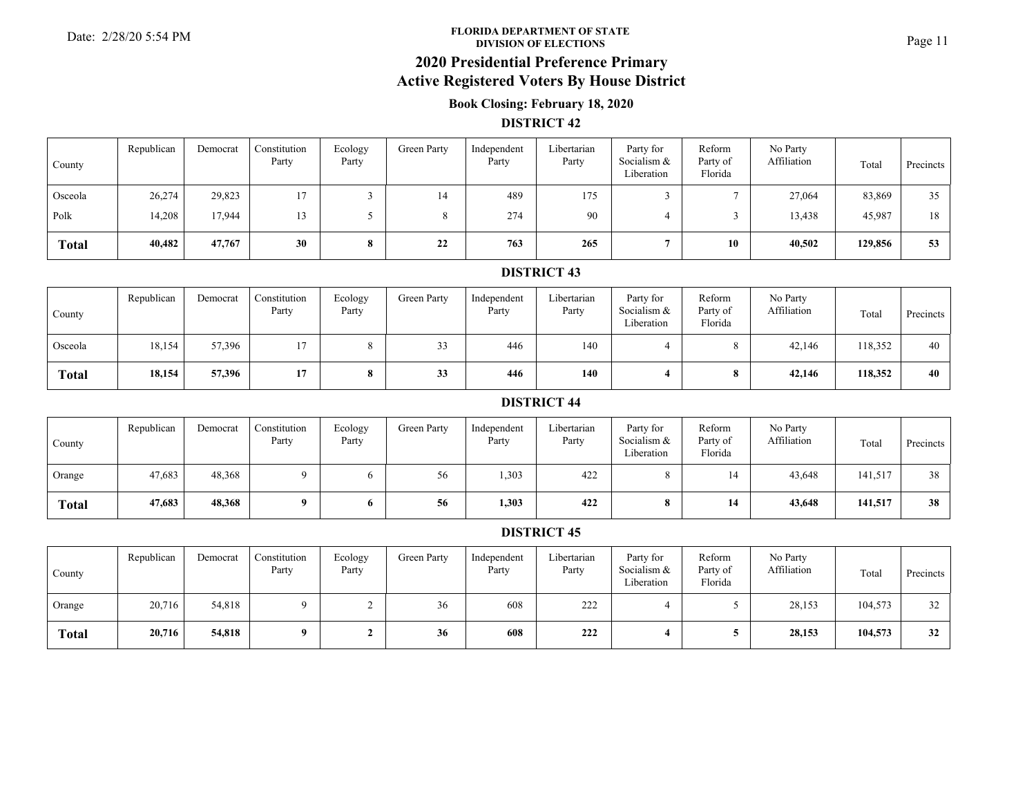#### **FLORIDA DEPARTMENT OF STATE**Date: 2/28/20 5:54 PM **Property of STATE** Property of STATE Property of STATE Page 11

### **2020 Presidential Preference Primary Active Registered Voters By House District**

### **Book Closing: February 18, 2020**

#### **DISTRICT 42**

| County       | Republican | Democrat | Constitution<br>Party | Ecology<br>Party | Green Party | Independent<br>Party | Libertarian<br>Party | Party for<br>Socialism &<br>Liberation | Reform<br>Party of<br>Florida | No Party<br>Affiliation | Total   | Precincts |
|--------------|------------|----------|-----------------------|------------------|-------------|----------------------|----------------------|----------------------------------------|-------------------------------|-------------------------|---------|-----------|
| Osceola      | 26,274     | 29,823   | 17                    |                  | 14          | 489                  | 175                  |                                        |                               | 27,064                  | 83,869  | 35        |
| Polk         | 14,208     | 17,944   | 13                    |                  |             | 274                  | 90                   |                                        |                               | 13,438                  | 45,987  | 18        |
| <b>Total</b> | 40,482     | 47,767   | 30                    | $\mathbf o$      | 22          | 763                  | 265                  |                                        | 10                            | 40,502                  | 129,856 | 53        |

#### **DISTRICT 43**

| County       | Republican | Democrat | Constitution<br>Party | Ecology<br>Party         | Green Party   | Independent<br>Party | Libertarian<br>Party | Party for<br>Socialism &<br>Liberation | Reform<br>Party of<br>Florida | No Party<br>Affiliation | Total   | Precincts |
|--------------|------------|----------|-----------------------|--------------------------|---------------|----------------------|----------------------|----------------------------------------|-------------------------------|-------------------------|---------|-----------|
| Osceola      | 18,154     | 57,396   |                       |                          | $\sim$<br>ر ر | 446                  | 140                  |                                        |                               | 42,146                  | 118,352 | 40        |
| <b>Total</b> | 18,154     | 57,396   | 17                    | $\Omega$<br>$\mathbf{o}$ | 33            | 446                  | 140                  |                                        |                               | 42,146                  | 118,352 | 40        |

#### **DISTRICT 44**

| County       | Republican | Democrat | Constitution<br>Party | Ecology<br>Party | Green Party | Independent<br>Party | Libertarian<br>Party | Party for<br>Socialism &<br>Liberation | Reform<br>Party of<br>Florida | No Party<br>Affiliation | Total   | Precincts |
|--------------|------------|----------|-----------------------|------------------|-------------|----------------------|----------------------|----------------------------------------|-------------------------------|-------------------------|---------|-----------|
| Orange       | 47,683     | 48,368   |                       |                  | 56          | 1,303                | 422                  |                                        |                               | 43,648                  | 141,517 | 38        |
| <b>Total</b> | 47,683     | 48,368   | $\mathbf o$           |                  | 56          | 1,303                | 422                  |                                        | 14                            | 43,648                  | 141,517 | 38        |

| County       | Republican | Democrat | Constitution<br>Party | Ecology<br>Party | Green Party | Independent<br>Party | Libertarian<br>Party | Party for<br>Socialism &<br>Liberation | Reform<br>Party of<br>Florida | No Party<br>Affiliation | Total   | Precincts |
|--------------|------------|----------|-----------------------|------------------|-------------|----------------------|----------------------|----------------------------------------|-------------------------------|-------------------------|---------|-----------|
| Orange       | 20,716     | 54,818   |                       |                  | 36          | 608                  | 222                  |                                        |                               | 28,153                  | 104,573 | 32        |
| <b>Total</b> | 20,716     | 54,818   |                       |                  | 36          | 608                  | 222                  |                                        |                               | 28,153                  | 104,573 | 32        |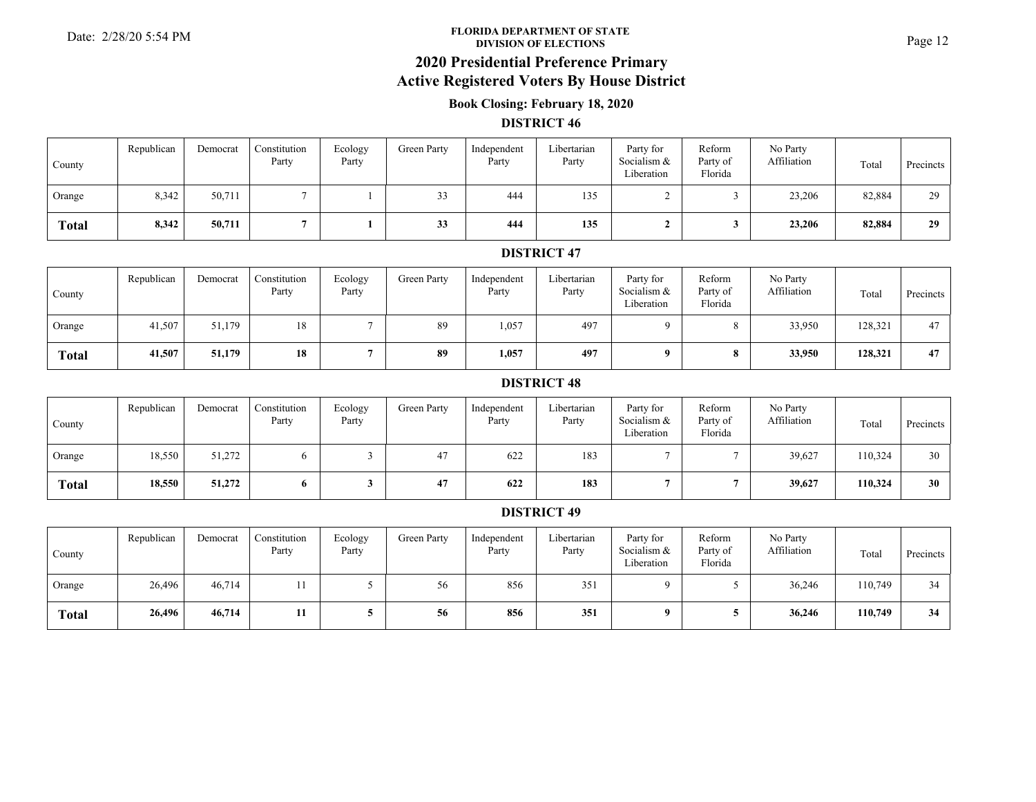#### **FLORIDA DEPARTMENT OF STATE**Date: 2/28/20 5:54 PM **Page 12**<br>DIVISION OF ELECTIONS

## **2020 Presidential Preference Primary**

### **Active Registered Voters By House District**

### **Book Closing: February 18, 2020**

#### **DISTRICT 46**

| County       | Republican | Democrat | Constitution<br>Party | Ecology<br>Party | Green Party | Independent<br>Party | Libertarian<br>Party | Party for<br>Socialism &<br>Liberation | Reform<br>Party of<br>Florida | No Party<br>Affiliation | Total  | <b>Precincts</b> |
|--------------|------------|----------|-----------------------|------------------|-------------|----------------------|----------------------|----------------------------------------|-------------------------------|-------------------------|--------|------------------|
| Orange       | 8,342      | 50,711   |                       |                  | 33          | 444                  | 135                  |                                        |                               | 23,206                  | 82,884 | 29               |
| <b>Total</b> | 8,342      | 50,711   |                       |                  | 33          | 444                  | 135                  |                                        |                               | 23,206                  | 82,884 | 29               |

#### **DISTRICT 47**

| County       | Republican | Democrat | Constitution<br>Party | Ecology<br>Party | Green Party | Independent<br>Party | Libertarian<br>Party | Party for<br>Socialism &<br>Liberation | Reform<br>Party of<br>Florida | No Party<br>Affiliation | Total   | Precincts |
|--------------|------------|----------|-----------------------|------------------|-------------|----------------------|----------------------|----------------------------------------|-------------------------------|-------------------------|---------|-----------|
| Orange       | 41,507     | 51,179   | 18                    |                  | 89          | 1,057                | 497                  |                                        |                               | 33,950                  | 128,321 | 47        |
| <b>Total</b> | 41,507     | 51,179   | 18                    |                  | 89          | 1,057                | 497                  |                                        |                               | 33,950                  | 128,321 | 47        |

#### **DISTRICT 48**

| County       | Republican | Democrat | Constitution<br>Party | Ecology<br>Party | Green Party | Independent<br>Party | Libertarian<br>Party | Party for<br>Socialism &<br>Liberation | Reform<br>Party of<br>Florida | No Party<br>Affiliation | Total   | Precincts |
|--------------|------------|----------|-----------------------|------------------|-------------|----------------------|----------------------|----------------------------------------|-------------------------------|-------------------------|---------|-----------|
| Orange       | 18,550     | 51,272   |                       |                  | 47          | 622                  | 183                  |                                        |                               | 39,627                  | 110,324 | 30        |
| <b>Total</b> | 18,550     | 51,272   | 6                     |                  | 47          | 622                  | 183                  |                                        |                               | 39,627                  | 110,324 | 30        |

| County       | Republican | Democrat | Constitution<br>Party | Ecology<br>Party | Green Party | Independent<br>Party | Libertarian<br>Party | Party for<br>Socialism &<br>Liberation | Reform<br>Party of<br>Florida | No Party<br>Affiliation | Total   | Precincts |
|--------------|------------|----------|-----------------------|------------------|-------------|----------------------|----------------------|----------------------------------------|-------------------------------|-------------------------|---------|-----------|
| Orange       | 26,496     | 46,714   | 11                    |                  | 56          | 856                  | 351                  |                                        |                               | 36,246                  | 110,749 | 34        |
| <b>Total</b> | 26,496     | 46,714   |                       |                  | 56          | 856                  | 351                  |                                        |                               | 36,246                  | 110,749 | 34        |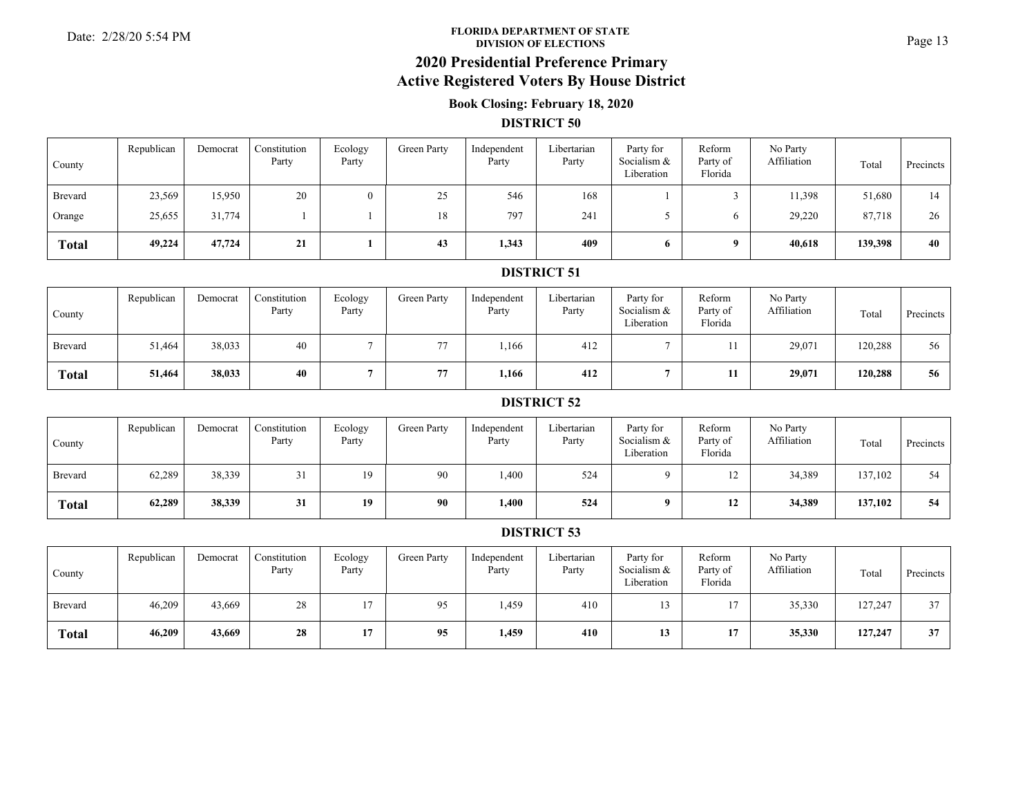#### **FLORIDA DEPARTMENT OF STATE**Date: 2/28/20 5:54 PM **Page 13**<br>DIVISION OF ELECTIONS

# **2020 Presidential Preference Primary**

## **Active Registered Voters By House District**

### **Book Closing: February 18, 2020**

#### **DISTRICT 50**

| County       | Republican | Democrat | Constitution<br>Party | Ecology<br>Party | Green Party | Independent<br>Party | Libertarian<br>Party | Party for<br>Socialism &<br>Liberation | Reform<br>Party of<br>Florida | No Party<br>Affiliation | Total   | Precincts |
|--------------|------------|----------|-----------------------|------------------|-------------|----------------------|----------------------|----------------------------------------|-------------------------------|-------------------------|---------|-----------|
| Brevard      | 23,569     | 15,950   | 20                    | $\theta$         | 25          | 546                  | 168                  |                                        |                               | 11,398                  | 51,680  | 14        |
| Orange       | 25,655     | 31,774   |                       |                  | 18          | 797                  | 241                  |                                        |                               | 29,220                  | 87,718  | 26        |
| <b>Total</b> | 49,224     | 47,724   | 21                    |                  | 43          | 1,343                | 409                  | 6.                                     |                               | 40,618                  | 139,398 | 40        |

#### **DISTRICT 51**

| County         | Republican | Democrat | Constitution<br>Party | Ecology<br>Party | Green Party    | Independent<br>Party | Libertarian<br>Party | Party for<br>Socialism &<br>Liberation | Reform<br>Party of<br>Florida | No Party<br>Affiliation | Total   | Precincts |
|----------------|------------|----------|-----------------------|------------------|----------------|----------------------|----------------------|----------------------------------------|-------------------------------|-------------------------|---------|-----------|
| <b>Brevard</b> | 51,464     | 38,033   | 40                    |                  | $\overline{a}$ | 1,166                | 412                  |                                        |                               | 29,071                  | 120,288 | 56        |
| <b>Total</b>   | 51,464     | 38,033   | 40                    |                  | 77             | 1,166                | 412                  |                                        | 11                            | 29,071                  | 120,288 | 56        |

#### **DISTRICT 52**

| County         | Republican | Democrat | Constitution<br>Party | Ecology<br>Party | Green Party | Independent<br>Party | Libertarian<br>Party | Party for<br>Socialism &<br>Liberation | Reform<br>Party of<br>Florida | No Party<br>Affiliation | Total   | Precincts |
|----------------|------------|----------|-----------------------|------------------|-------------|----------------------|----------------------|----------------------------------------|-------------------------------|-------------------------|---------|-----------|
| <b>Brevard</b> | 62,289     | 38,339   |                       | 19               | 90          | 1,400                | 524                  |                                        | ⊥∠                            | 34,389                  | 137,102 | 54        |
| <b>Total</b>   | 62,289     | 38,339   | 31                    | 19               | 90          | 1,400                | 524                  |                                        | 12                            | 34,389                  | 137,102 | 54        |

| County       | Republican | Democrat | Constitution<br>Party | Ecology<br>Party | Green Party | Independent<br>Party | Libertarian<br>Party | Party for<br>Socialism &<br>Liberation | Reform<br>Party of<br>Florida | No Party<br>Affiliation | Total   | Precincts |
|--------------|------------|----------|-----------------------|------------------|-------------|----------------------|----------------------|----------------------------------------|-------------------------------|-------------------------|---------|-----------|
| Brevard      | 46,209     | 43,669   | 28                    |                  | 95          | 1,459                | 410                  |                                        |                               | 35,330                  | 127,247 | 37        |
| <b>Total</b> | 46,209     | 43,669   | 28                    |                  | 95          | 1,459                | 410                  | 13                                     | 17                            | 35,330                  | 127,247 | 37        |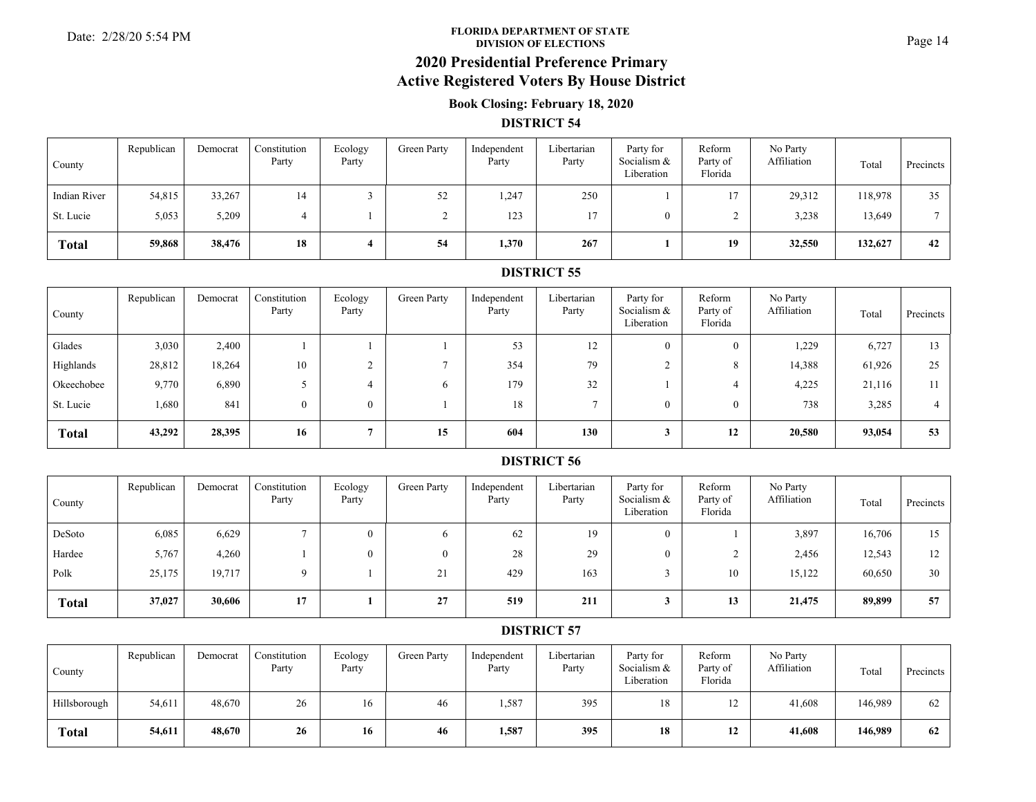#### **FLORIDA DEPARTMENT OF STATE**Date: 2/28/20 5:54 PM **Page 14**<br>DIVISION OF ELECTIONS

# **2020 Presidential Preference Primary**

## **Active Registered Voters By House District**

### **Book Closing: February 18, 2020**

#### **DISTRICT 54**

| County       | Republican | Democrat | Constitution<br>Party | Ecology<br>Party | Green Party | Independent<br>Party | Libertarian<br>Party | Party for<br>Socialism &<br>Liberation | Reform<br>Party of<br>Florida | No Party<br>Affiliation | Total   | Precincts |
|--------------|------------|----------|-----------------------|------------------|-------------|----------------------|----------------------|----------------------------------------|-------------------------------|-------------------------|---------|-----------|
| Indian River | 54,815     | 33,267   | 14                    |                  | 52          | 1,247                | 250                  |                                        | 1 <sub>7</sub>                | 29,312                  | 118,978 | 35        |
| St. Lucie    | 5,053      | 5,209    |                       |                  |             | 123                  | 17                   |                                        |                               | 3,238                   | 13,649  |           |
| <b>Total</b> | 59,868     | 38,476   | 18                    |                  | 54          | 1,370                | 267                  |                                        | 19                            | 32,550                  | 132,627 | 42        |

#### **DISTRICT 55**

| County       | Republican | Democrat | Constitution<br>Party | Ecology<br>Party | Green Party | Independent<br>Party | Libertarian<br>Party | Party for<br>Socialism &<br>Liberation | Reform<br>Party of<br>Florida | No Party<br>Affiliation | Total  | Precincts |
|--------------|------------|----------|-----------------------|------------------|-------------|----------------------|----------------------|----------------------------------------|-------------------------------|-------------------------|--------|-----------|
| Glades       | 3,030      | 2,400    |                       |                  |             | 53                   | 12                   | $\Omega$                               | 0                             | 1,229                   | 6,727  | 13        |
| Highlands    | 28,812     | 18,264   | 10                    |                  |             | 354                  | 79                   |                                        |                               | 14,388                  | 61,926 | 25        |
| Okeechobee   | 9,770      | 6,890    |                       |                  |             | 179                  | 32                   |                                        |                               | 4,225                   | 21,116 |           |
| St. Lucie    | 1,680      | 841      | $\theta$              | $\bf{0}$         |             | 18                   |                      | $\theta$                               |                               | 738                     | 3,285  |           |
| <b>Total</b> | 43,292     | 28,395   | 16                    |                  | 15          | 604                  | 130                  |                                        | 12                            | 20,580                  | 93,054 | 53        |

#### **DISTRICT 56**

| County       | Republican | Democrat | Constitution<br>Party | Ecology<br>Party | Green Party  | Independent<br>Party | Libertarian<br>Party | Party for<br>Socialism &<br>Liberation | Reform<br>Party of<br>Florida | No Party<br>Affiliation | Total  | Precincts |
|--------------|------------|----------|-----------------------|------------------|--------------|----------------------|----------------------|----------------------------------------|-------------------------------|-------------------------|--------|-----------|
| DeSoto       | 6,085      | 6,629    |                       |                  | <sub>6</sub> | 62                   | 19                   | 0                                      |                               | 3,897                   | 16,706 | 15        |
| Hardee       | 5,767      | 4,260    |                       |                  | $\Omega$     | 28                   | 29                   |                                        |                               | 2,456                   | 12,543 | 12        |
| Polk         | 25,175     | 19,717   | $\Omega$              |                  | 21           | 429                  | 163                  |                                        | 10                            | 15,122                  | 60,650 | 30        |
| <b>Total</b> | 37,027     | 30,606   | 17                    |                  | 27           | 519                  | 211                  |                                        | 13                            | 21,475                  | 89,899 | 57        |

| County       | Republican | Democrat | Constitution<br>Party | Ecology<br>Party | Green Party | Independent<br>Party | Libertarian<br>Party | Party for<br>Socialism &<br>Liberation | Reform<br>Party of<br>Florida | No Party<br>Affiliation | Total   | Precincts |
|--------------|------------|----------|-----------------------|------------------|-------------|----------------------|----------------------|----------------------------------------|-------------------------------|-------------------------|---------|-----------|
| Hillsborough | 54,611     | 48,670   | 26                    | 16               | 46          | 1,587                | 395                  | 18                                     |                               | 41,608                  | 146,989 | 62        |
| <b>Total</b> | 54,611     | 48,670   | 26                    | 16               | 46          | 1,587                | 395                  | 18                                     | 12                            | 41,608                  | 146,989 | 62        |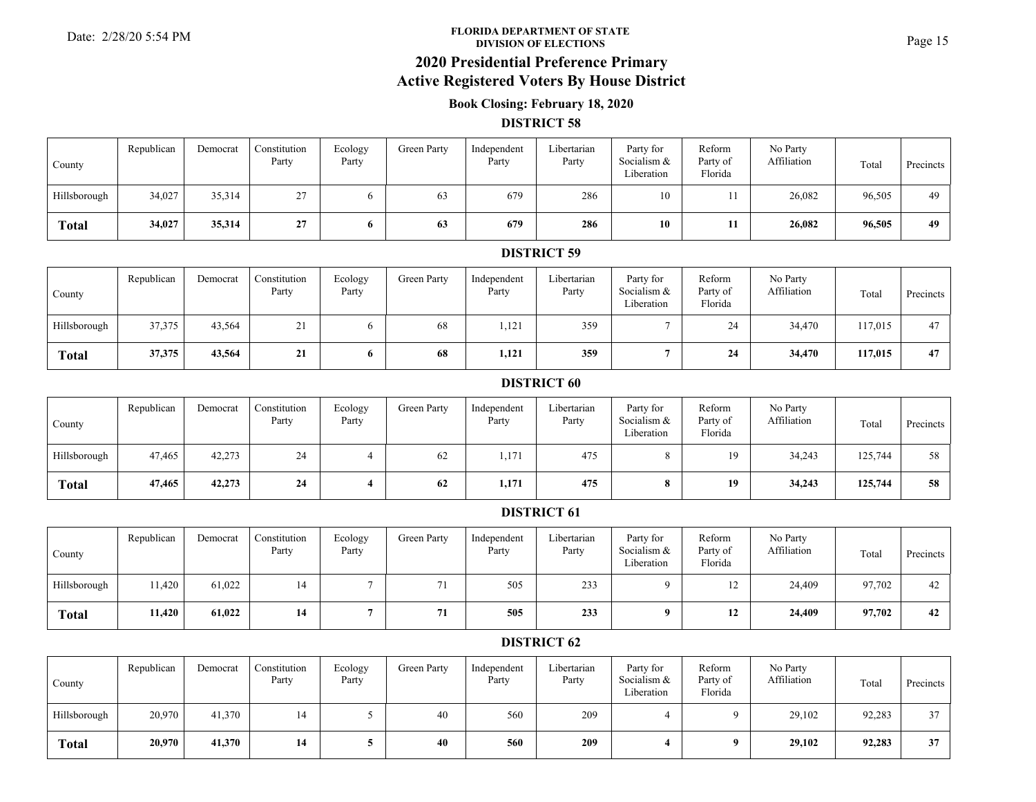#### **FLORIDA DEPARTMENT OF STATE**Date: 2/28/20 5:54 PM **Page 15**<br>DIVISION OF ELECTIONS

**2020 Presidential Preference Primary**

### **Active Registered Voters By House District**

### **Book Closing: February 18, 2020**

#### **DISTRICT 58**

| County       | Republican | Democrat | Constitution<br>Party | Ecology<br>Party | Green Party | Independent<br>Party | Libertarian<br>Party | Party for<br>Socialism &<br>Liberation | Reform<br>Party of<br>Florida | No Party<br>Affiliation | Total  | Precincts |
|--------------|------------|----------|-----------------------|------------------|-------------|----------------------|----------------------|----------------------------------------|-------------------------------|-------------------------|--------|-----------|
| Hillsborough | 34,027     | 35,314   | 27<br>້≀              |                  | 63          | 679                  | 286                  | 10                                     |                               | 26,082                  | 96,505 | 49        |
| <b>Total</b> | 34,027     | 35,314   | 27                    |                  | 63          | 679                  | 286                  | 10                                     |                               | 26,082                  | 96,505 | 49        |

#### **DISTRICT 59**

| County       | Republican | Democrat | Constitution<br>Party | Ecology<br>Party | Green Party | Independent<br>Party | Libertarian<br>Party | Party for<br>Socialism &<br>Liberation | Reform<br>Party of<br>Florida | No Party<br>Affiliation | Total   | Precincts |
|--------------|------------|----------|-----------------------|------------------|-------------|----------------------|----------------------|----------------------------------------|-------------------------------|-------------------------|---------|-----------|
| Hillsborough | 37,375     | 43,564   | ∠⊥                    |                  | 68          | 1,121                | 359                  |                                        | 24                            | 34,470                  | 117,015 | 47        |
| <b>Total</b> | 37,375     | 43,564   | 21                    | $\mathbf o$      | 68          | 1,121                | 359                  |                                        | 24                            | 34,470                  | 117,015 | 47        |

#### **DISTRICT 60**

| County       | Republican | Democrat | Constitution<br>Party | Ecology<br>Party | Green Party | Independent<br>Party | Libertarian<br>Party | Party for<br>Socialism &<br>Liberation | Reform<br>Party of<br>Florida | No Party<br>Affiliation | Total   | Precincts |
|--------------|------------|----------|-----------------------|------------------|-------------|----------------------|----------------------|----------------------------------------|-------------------------------|-------------------------|---------|-----------|
| Hillsborough | 47,465     | 42,273   | 24                    |                  | 62          | 1,171                | 475                  |                                        | 10                            | 34,243                  | 125,744 | 58        |
| <b>Total</b> | 47,465     | 42,273   | 24                    |                  | 62          | 1,171                | 475                  |                                        | 19                            | 34,243                  | 125,744 | 58        |

#### **DISTRICT 61**

| County       | Republican | Democrat | Constitution<br>Party | Ecology<br>Party | Green Party | Independent<br>Party | Libertarian<br>Party | Party for<br>Socialism &<br>Liberation | Reform<br>Party of<br>Florida | No Party<br>Affiliation | Total  | Precincts |
|--------------|------------|----------|-----------------------|------------------|-------------|----------------------|----------------------|----------------------------------------|-------------------------------|-------------------------|--------|-----------|
| Hillsborough | 11,420     | 61,022   |                       |                  | 71          | 505                  | 233                  |                                        | $\overline{1}$                | 24,409                  | 97,702 | 42        |
| <b>Total</b> | 11,420     | 61,022   | 14                    |                  | 71          | 505                  | 233                  |                                        | 12                            | 24,409                  | 97,702 | 42        |

| County       | Republican | Democrat | Constitution<br>Party | Ecology<br>Party | Green Party | Independent<br>Party | Libertarian<br>Party | Party for<br>Socialism &<br>Liberation | Reform<br>Party of<br>Florida | No Party<br>Affiliation | Total  | Precincts |
|--------------|------------|----------|-----------------------|------------------|-------------|----------------------|----------------------|----------------------------------------|-------------------------------|-------------------------|--------|-----------|
| Hillsborough | 20,970     | 41,370   | 14                    |                  | 40          | 560                  | 209                  |                                        |                               | 29,102                  | 92,283 | 37        |
| <b>Total</b> | 20,970     | 41,370   | 14                    |                  | 40          | 560                  | 209                  |                                        |                               | 29,102                  | 92,283 | 37        |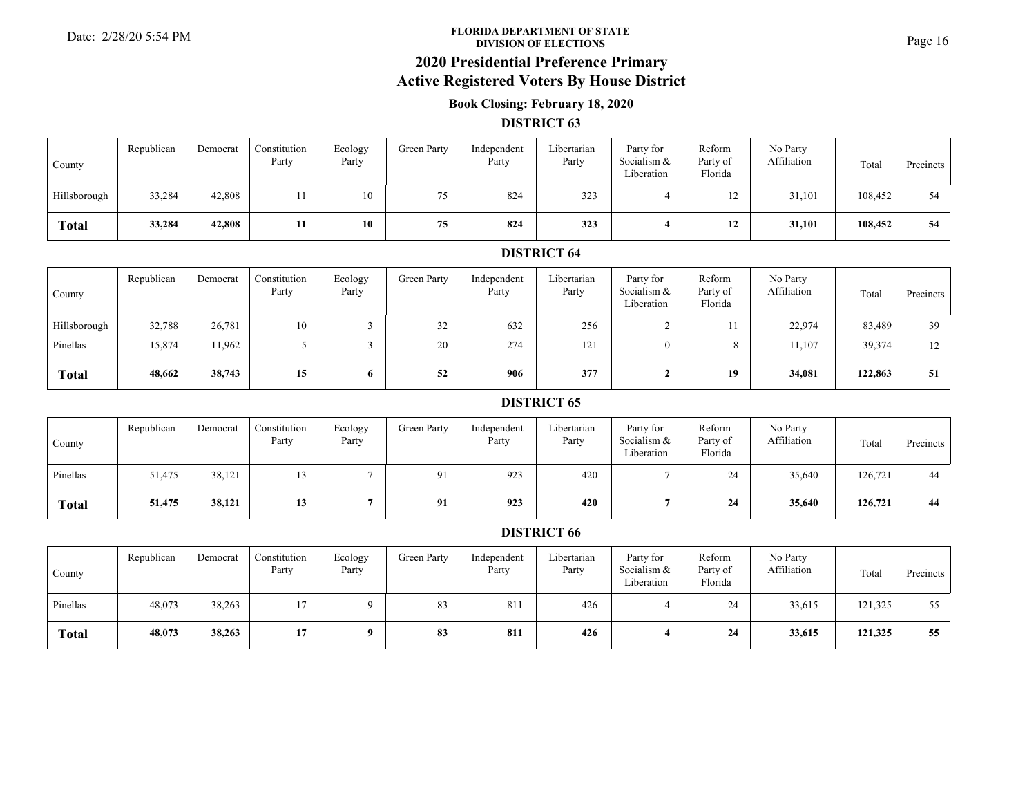#### **FLORIDA DEPARTMENT OF STATE**Date: 2/28/20 5:54 PM **Page 16**<br>DIVISION OF ELECTIONS

# **2020 Presidential Preference Primary**

# **Active Registered Voters By House District**

### **Book Closing: February 18, 2020**

#### **DISTRICT 63**

| County       | Republican | Democrat | Constitution<br>Party | Ecology<br>Party | <b>Green Party</b> | Independent<br>Party | Libertarian<br>Party | Party for<br>Socialism &<br>Liberation | Reform<br>Party of<br>Florida | No Party<br>Affiliation | Total   | Precincts |
|--------------|------------|----------|-----------------------|------------------|--------------------|----------------------|----------------------|----------------------------------------|-------------------------------|-------------------------|---------|-----------|
| Hillsborough | 33,284     | 42,808   |                       | 10               | 75                 | 824                  | 323                  |                                        |                               | 31,101                  | 108,452 | 54        |
| <b>Total</b> | 33,284     | 42,808   |                       | 10               | 75                 | 824                  | 323                  |                                        | 12                            | 31,101                  | 108,452 | 54        |

#### **DISTRICT 64**

| County       | Republican | Democrat | Constitution<br>Party | Ecology<br>Party | Green Party | Independent<br>Party | Libertarian<br>Party | Party for<br>Socialism &<br>Liberation | Reform<br>Party of<br>Florida | No Party<br>Affiliation | Total   | Precincts |
|--------------|------------|----------|-----------------------|------------------|-------------|----------------------|----------------------|----------------------------------------|-------------------------------|-------------------------|---------|-----------|
| Hillsborough | 32,788     | 26,781   | 10                    |                  | 32          | 632                  | 256                  |                                        |                               | 22,974                  | 83,489  | 39        |
| Pinellas     | 15,874     | 11,962   |                       |                  | 20          | 274                  | 121                  |                                        |                               | 11,107                  | 39,374  | 12        |
| <b>Total</b> | 48,662     | 38,743   | 15                    | $\mathbf{o}$     | 52          | 906                  | 377                  |                                        | 19                            | 34,081                  | 122,863 | 51        |

#### **DISTRICT 65**

| County       | Republican | Democrat | Constitution<br>Party | Ecology<br>Party | Green Party | Independent<br>Party | Libertarian<br>Party | Party for<br>Socialism &<br>Liberation | Reform<br>Party of<br>Florida | No Party<br>Affiliation | Total   | Precincts |
|--------------|------------|----------|-----------------------|------------------|-------------|----------------------|----------------------|----------------------------------------|-------------------------------|-------------------------|---------|-----------|
| Pinellas     | 51,475     | 38,121   |                       |                  | 91          | 923                  | 420                  |                                        | 24                            | 35,640                  | 126,721 | 44        |
| <b>Total</b> | 51,475     | 38,121   | 13                    |                  | 91          | 923                  | 420                  |                                        | 24                            | 35,640                  | 126,721 | 44        |

| County       | Republican | Democrat | Constitution<br>Party | Ecology<br>Party | Green Party | Independent<br>Party | Libertarian<br>Party | Party for<br>Socialism &<br>Liberation | Reform<br>Party of<br>Florida | No Party<br>Affiliation | Total   | Precincts |
|--------------|------------|----------|-----------------------|------------------|-------------|----------------------|----------------------|----------------------------------------|-------------------------------|-------------------------|---------|-----------|
| Pinellas     | 48,073     | 38,263   | 17                    |                  | 83          | 811                  | 426                  |                                        | 24                            | 33,615                  | 121,325 |           |
| <b>Total</b> | 48,073     | 38,263   | 17                    |                  | 83          | 811                  | 426                  |                                        | 24                            | 33,615                  | 121,325 | 55        |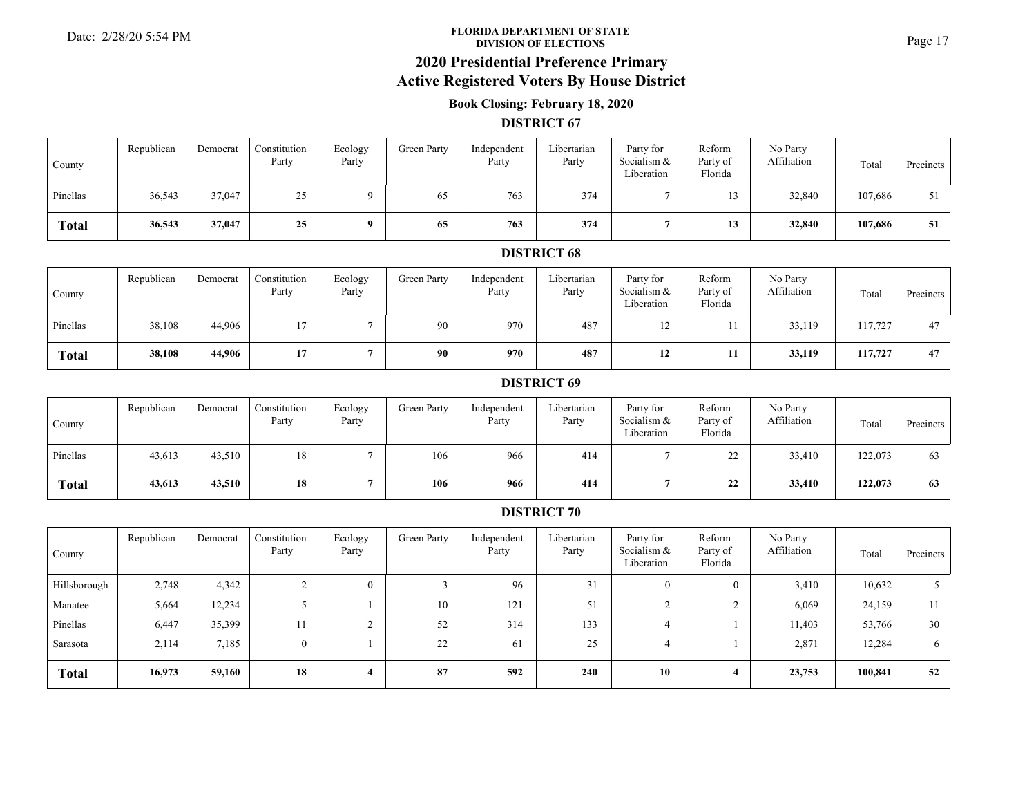#### **FLORIDA DEPARTMENT OF STATE**Date: 2/28/20 5:54 PM **Page 17**<br>DIVISION OF ELECTIONS

# **2020 Presidential Preference Primary**

## **Active Registered Voters By House District**

### **Book Closing: February 18, 2020**

#### **DISTRICT 67**

| County       | Republican | Democrat | Constitution<br>Party | Ecology<br>Party | Green Party | Independent<br>Party | Libertarian<br>Party | Party for<br>Socialism &<br>Liberation | Reform<br>Party of<br>Florida | No Party<br>Affiliation | Total   | Precincts |
|--------------|------------|----------|-----------------------|------------------|-------------|----------------------|----------------------|----------------------------------------|-------------------------------|-------------------------|---------|-----------|
| Pinellas     | 36,543     | 37,047   | 25                    |                  | 65          | 763                  | 374                  |                                        |                               | 32,840                  | 107,686 | 51        |
| <b>Total</b> | 36,543     | 37,047   | 25                    |                  | 65          | 763                  | 374                  |                                        | IJ                            | 32,840                  | 107,686 | 51        |

#### **DISTRICT 68**

| County   | Republican | Democrat | Constitution<br>Party | Ecology<br>Party | Green Party | Independent<br>Party | Libertarian<br>Party | Party for<br>Socialism &<br>Liberation | Reform<br>Party of<br>Florida | No Party<br>Affiliation | Total   | Precincts |
|----------|------------|----------|-----------------------|------------------|-------------|----------------------|----------------------|----------------------------------------|-------------------------------|-------------------------|---------|-----------|
| Pinellas | 38,108     | 44,906   |                       |                  | 90          | 970                  | 487                  |                                        |                               | 33,119                  | 117,727 | 47        |
| Total    | 38,108     | 44,906   | 17                    |                  | 90          | 970                  | 487                  | 12                                     | 11                            | 33,119                  | 117,727 | 47        |

#### **DISTRICT 69**

| County       | Republican | Democrat | Constitution<br>Party | Ecology<br>Party | Green Party | Independent<br>Party | Libertarian<br>Party | Party for<br>Socialism &<br>Liberation | Reform<br>Party of<br>Florida | No Party<br>Affiliation | Total   | Precincts |
|--------------|------------|----------|-----------------------|------------------|-------------|----------------------|----------------------|----------------------------------------|-------------------------------|-------------------------|---------|-----------|
| Pinellas     | 43,613     | 43,510   | 18                    |                  | 106         | 966                  | 414                  |                                        | $\mathbf{A}$<br>∠∠            | 33,410                  | 122,073 | 63        |
| <b>Total</b> | 43,613     | 43,510   | 18                    |                  | 106         | 966                  | 414                  |                                        | 22                            | 33,410                  | 122,073 | 63        |

| County       | Republican | Democrat | Constitution<br>Party | Ecology<br>Party | Green Party | Independent<br>Party | Libertarian<br>Party | Party for<br>Socialism &<br>Liberation | Reform<br>Party of<br>Florida | No Party<br>Affiliation | Total   | Precincts I |
|--------------|------------|----------|-----------------------|------------------|-------------|----------------------|----------------------|----------------------------------------|-------------------------------|-------------------------|---------|-------------|
| Hillsborough | 2,748      | 4,342    |                       |                  |             | 96                   | 31                   | $\theta$                               |                               | 3,410                   | 10,632  |             |
| Manatee      | 5,664      | 12,234   |                       |                  | 10          | 121                  | 51                   |                                        |                               | 6,069                   | 24,159  |             |
| Pinellas     | 6,447      | 35,399   | 11                    |                  | 52          | 314                  | 133                  |                                        |                               | 11,403                  | 53,766  | 30          |
| Sarasota     | 2,114      | 7,185    | $\overline{0}$        |                  | 22          | 61                   | 25                   |                                        |                               | 2,871                   | 12,284  | $\sigma$    |
| <b>Total</b> | 16,973     | 59,160   | 18                    |                  | 87          | 592                  | 240                  | 10                                     |                               | 23,753                  | 100,841 | 52          |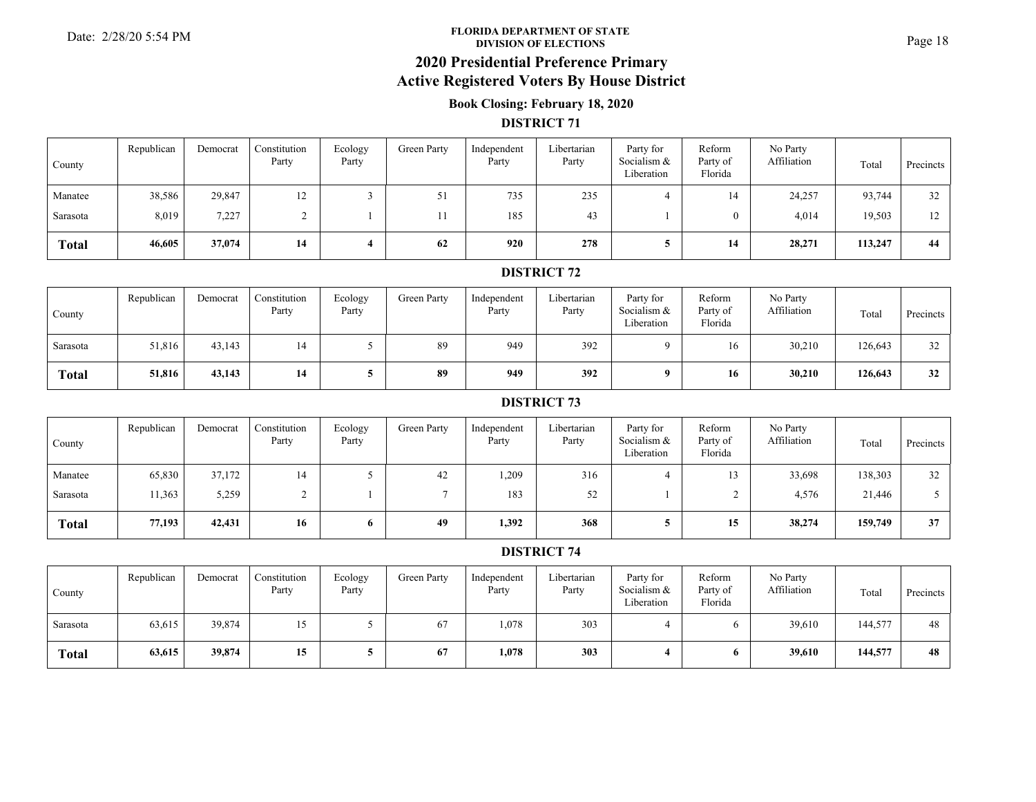#### **FLORIDA DEPARTMENT OF STATE**Date: 2/28/20 5:54 PM **Page 18**<br>DIVISION OF ELECTIONS

# **2020 Presidential Preference Primary**

### **Active Registered Voters By House District**

### **Book Closing: February 18, 2020**

#### **DISTRICT 71**

| County       | Republican | Democrat | Constitution<br>Party | Ecology<br>Party | Green Party | Independent<br>Party | Libertarian<br>Party | Party for<br>Socialism &<br>Liberation | Reform<br>Party of<br>Florida | No Party<br>Affiliation | Total   | Precincts |
|--------------|------------|----------|-----------------------|------------------|-------------|----------------------|----------------------|----------------------------------------|-------------------------------|-------------------------|---------|-----------|
| Manatee      | 38,586     | 29,847   | 12                    |                  | 51<br>JI    | 735                  | 235                  |                                        | 14                            | 24,257                  | 93,744  | 32        |
| Sarasota     | 8,019      | 7,227    |                       |                  |             | 185                  | 43                   |                                        |                               | 4,014                   | 19,503  | 12        |
| <b>Total</b> | 46,605     | 37,074   | 14                    |                  | 62          | 920                  | 278                  |                                        | 14                            | 28,271                  | 113,247 | 44        |

#### **DISTRICT 72**

| County       | Republican | Democrat | Constitution<br>Party | Ecology<br>Party | Green Party | Independent<br>Party | Libertarian<br>Party | Party for<br>Socialism &<br>Liberation | Reform<br>Party of<br>Florida | No Party<br>Affiliation | Total   | Precincts |
|--------------|------------|----------|-----------------------|------------------|-------------|----------------------|----------------------|----------------------------------------|-------------------------------|-------------------------|---------|-----------|
| Sarasota     | 51,816     | 43,143   |                       |                  | 89          | 949                  | 392                  |                                        |                               | 30,210                  | 126,643 | 32        |
| <b>Total</b> | 51,816     | 43,143   | 14                    |                  | 89          | 949                  | 392                  |                                        | 16                            | 30,210                  | 126,643 | 32        |

#### **DISTRICT 73**

| County       | Republican | Democrat | Constitution<br>Party | Ecology<br>Party | Green Party | Independent<br>Party | Libertarian<br>Party | Party for<br>Socialism &<br>Liberation | Reform<br>Party of<br>Florida | No Party<br>Affiliation | Total   | Precincts |
|--------------|------------|----------|-----------------------|------------------|-------------|----------------------|----------------------|----------------------------------------|-------------------------------|-------------------------|---------|-----------|
| Manatee      | 65,830     | 37,172   | 14                    |                  | 42          | ,209                 | 316                  |                                        |                               | 33,698                  | 138,303 | 32        |
| Sarasota     | 1,363      | 5,259    |                       |                  |             | 183                  | 52                   |                                        |                               | 4,576                   | 21,446  |           |
| <b>Total</b> | 77,193     | 42,431   | 16                    | $\mathbf o$      | 49          | 1,392                | 368                  |                                        | 15                            | 38,274                  | 159,749 | 37        |

| County       | Republican | Democrat | Constitution<br>Party | Ecology<br>Party | Green Party | Independent<br>Party | Libertarian<br>Party | Party for<br>Socialism &<br>Liberation | Reform<br>Party of<br>Florida | No Party<br>Affiliation | Total   | <b>Precincts</b> |
|--------------|------------|----------|-----------------------|------------------|-------------|----------------------|----------------------|----------------------------------------|-------------------------------|-------------------------|---------|------------------|
| Sarasota     | 63,615     | 39,874   | 15                    |                  | 67          | 1,078                | 303                  |                                        |                               | 39,610                  | 144,577 | 48               |
| <b>Total</b> | 63,615     | 39,874   | 15                    |                  | 67          | 1,078                | 303                  |                                        |                               | 39,610                  | 144,577 | 48               |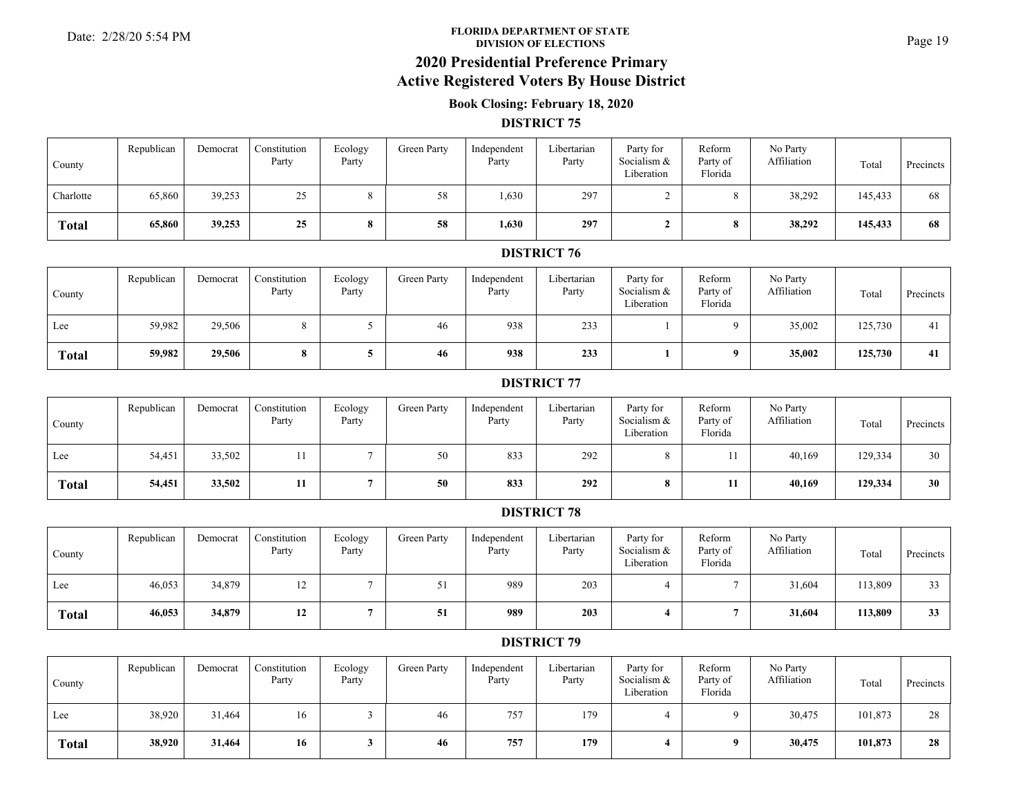#### **FLORIDA DEPARTMENT OF STATE**Date: 2/28/20 5:54 PM **Page 19**<br>DIVISION OF ELECTIONS

# **2020 Presidential Preference Primary**

# **Active Registered Voters By House District**

### **Book Closing: February 18, 2020**

#### **DISTRICT 75**

| County       | Republican | Democrat | Constitution<br>Party | Ecology<br>Party | Green Party | Independent<br>Party | Libertarian<br>Party | Party for<br>Socialism &<br>Liberation | Reform<br>Party of<br>Florida | No Party<br>Affiliation | Total   | Precincts |
|--------------|------------|----------|-----------------------|------------------|-------------|----------------------|----------------------|----------------------------------------|-------------------------------|-------------------------|---------|-----------|
| Charlotte    | 65,860     | 39,253   | 25<br>رے              |                  | 58          | 1,630                | 297                  |                                        |                               | 38,292                  | 145,433 | 68        |
| <b>Total</b> | 65,860     | 39,253   | 25                    |                  | 58          | 1,630                | 297                  |                                        |                               | 38,292                  | 145,433 | 68        |

### **DISTRICT 76**

| County       | Republican | Democrat | Constitution<br>Party | Ecology<br>Party | Green Party | Independent<br>Party | Libertarian<br>Party | Party for<br>Socialism &<br>Liberation | Reform<br>Party of<br>Florida | No Party<br>Affiliation | Total   | Precincts |
|--------------|------------|----------|-----------------------|------------------|-------------|----------------------|----------------------|----------------------------------------|-------------------------------|-------------------------|---------|-----------|
| Lee          | 59,982     | 29,506   |                       |                  | 46          | 938                  | 233                  |                                        |                               | 35,002                  | 125,730 | 41        |
| <b>Total</b> | 59,982     | 29,506   | 8                     |                  | 46          | 938                  | 233                  |                                        |                               | 35,002                  | 125,730 | 41        |

### **DISTRICT 77**

| County       | Republican | Democrat | Constitution<br>Party | Ecology<br>Party | Green Party | Independent<br>Party | Libertarian<br>Party | Party for<br>Socialism &<br>Liberation | Reform<br>Party of<br>Florida | No Party<br>Affiliation | Total   | Precincts |
|--------------|------------|----------|-----------------------|------------------|-------------|----------------------|----------------------|----------------------------------------|-------------------------------|-------------------------|---------|-----------|
| Lee          | 54,451     | 33,502   |                       |                  | 50          | 833                  | 292                  |                                        |                               | 40,169                  | 129,334 | 30        |
| <b>Total</b> | 54,451     | 33,502   |                       |                  | 50          | 833                  | 292                  |                                        |                               | 40.169                  | 129,334 | 30        |

#### **DISTRICT 78**

| County       | Republican | Democrat | Constitution<br>Party | Ecology<br>Party | Green Party | Independent<br>Party | Libertarian<br>Party | Party for<br>Socialism &<br>Liberation | Reform<br>Party of<br>Florida | No Party<br>Affiliation | Total   | Precincts |
|--------------|------------|----------|-----------------------|------------------|-------------|----------------------|----------------------|----------------------------------------|-------------------------------|-------------------------|---------|-----------|
| Lee          | 46,053     | 34,879   | 12                    |                  | 21          | 989                  | 203                  |                                        |                               | 31,604                  | 113,809 | 33        |
| <b>Total</b> | 46,053     | 34,879   | 12                    |                  | 51          | 989                  | 203                  |                                        |                               | 31,604                  | 113,809 | 33        |

| County       | Republican | Democrat | Constitution<br>Party | Ecology<br>Party | Green Party | Independent<br>Party | Libertarian<br>Party | Party for<br>Socialism &<br>Liberation | Reform<br>Party of<br>Florida | No Party<br>Affiliation | Total   | Precincts |
|--------------|------------|----------|-----------------------|------------------|-------------|----------------------|----------------------|----------------------------------------|-------------------------------|-------------------------|---------|-----------|
| Lee          | 38,920     | 31,464   | 16                    |                  | 46          | 757                  | 179                  |                                        |                               | 30,475                  | 101,873 | 28        |
| <b>Total</b> | 38,920     | 31,464   | 16                    |                  | 46          | 757                  | 179                  |                                        |                               | 30,475                  | 101,873 | 28        |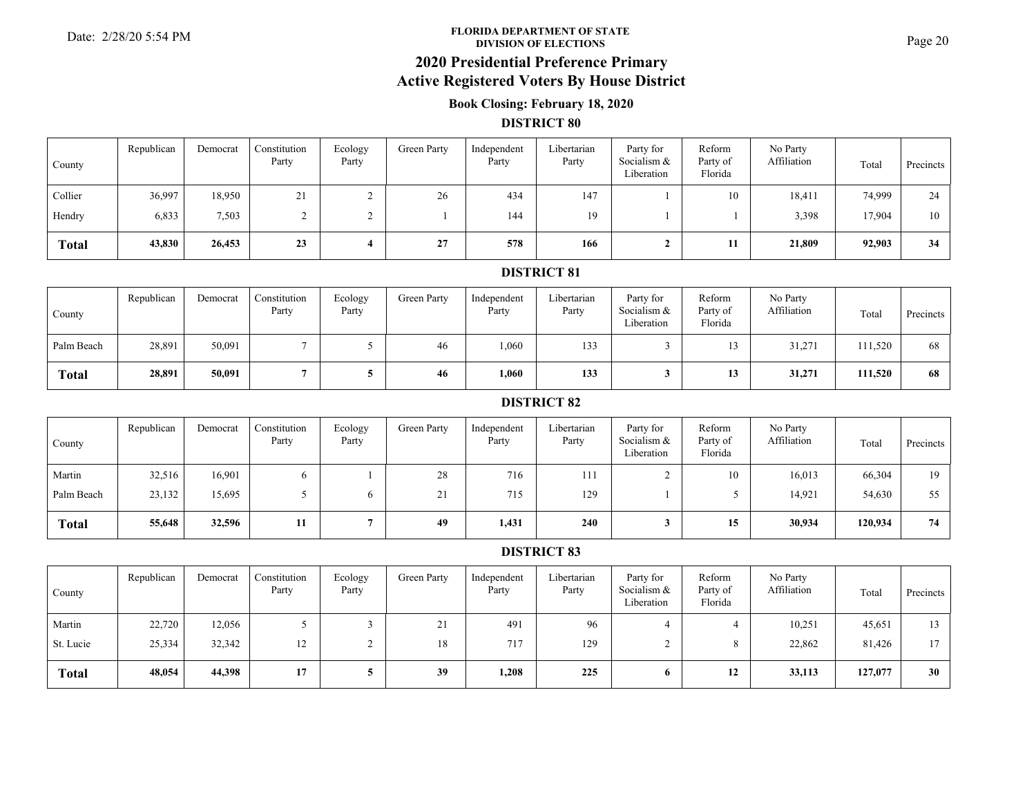#### **FLORIDA DEPARTMENT OF STATE**Date: 2/28/20 5:54 PM **Page 20**<br>DIVISION OF ELECTIONS

# **2020 Presidential Preference Primary**

### **Active Registered Voters By House District**

### **Book Closing: February 18, 2020**

#### **DISTRICT 80**

| County       | Republican | Democrat | Constitution<br>Party | Ecology<br>Party | <b>Green Party</b> | Independent<br>Party | Libertarian<br>Party | Party for<br>Socialism &<br>Liberation | Reform<br>Party of<br>Florida | No Party<br>Affiliation | Total  | Precincts |
|--------------|------------|----------|-----------------------|------------------|--------------------|----------------------|----------------------|----------------------------------------|-------------------------------|-------------------------|--------|-----------|
| Collier      | 36,997     | 18,950   | 21                    |                  | 26                 | 434                  | 147                  |                                        | 10                            | 18,411                  | 74,999 | 24        |
| Hendry       | 6,833      | 7,503    |                       | ↵                |                    | 144                  | 19                   |                                        |                               | 3,398                   | 17,904 | 10        |
| <b>Total</b> | 43,830     | 26,453   | 23                    |                  | 27                 | 578                  | 166                  |                                        | 11                            | 21,809                  | 92,903 | 34        |

#### **DISTRICT 81**

| County       | Republican | Democrat | Constitution<br>Party | Ecology<br>Party | Green Party | Independent<br>Party | Libertarian<br>Party | Party for<br>Socialism &<br>Liberation | Reform<br>Party of<br>Florida | No Party<br>Affiliation | Total   | Precincts |
|--------------|------------|----------|-----------------------|------------------|-------------|----------------------|----------------------|----------------------------------------|-------------------------------|-------------------------|---------|-----------|
| Palm Beach   | 28,891     | 50,091   |                       |                  | 46          | 1,060                | 133                  |                                        | 1 <sub>2</sub><br>رر          | 31,271                  | 111,520 | 68        |
| <b>Total</b> | 28,891     | 50,091   |                       |                  | 46          | 1,060                | 133                  |                                        | 12<br>19                      | 31,271                  | 111,520 | 68        |

#### **DISTRICT 82**

| County       | Republican | Democrat | Constitution<br>Party | Ecology<br>Party | Green Party | Independent<br>Party | Libertarian<br>Party | Party for<br>Socialism &<br>Liberation | Reform<br>Party of<br>Florida | No Party<br>Affiliation | Total   | Precincts |
|--------------|------------|----------|-----------------------|------------------|-------------|----------------------|----------------------|----------------------------------------|-------------------------------|-------------------------|---------|-----------|
| Martin       | 32,516     | 16,901   |                       |                  | 28          | 716                  | 111                  |                                        | 10                            | 16,013                  | 66,304  | 19        |
| Palm Beach   | 23,132     | 15,695   |                       |                  | 21          | 715                  | 129                  |                                        |                               | 14,921                  | 54,630  | 55        |
| <b>Total</b> | 55,648     | 32,596   |                       |                  | 49          | 1,431                | 240                  |                                        | 15                            | 30,934                  | 120,934 | 74        |

| County       | Republican | Democrat | Constitution<br>Party | Ecology<br>Party | Green Party | Independent<br>Party | Libertarian<br>Party | Party for<br>Socialism &<br>Liberation | Reform<br>Party of<br>Florida | No Party<br>Affiliation | Total   | Precincts |
|--------------|------------|----------|-----------------------|------------------|-------------|----------------------|----------------------|----------------------------------------|-------------------------------|-------------------------|---------|-----------|
| Martin       | 22,720     | 12,056   |                       |                  | 21          | 491                  | 96                   |                                        |                               | 10,251                  | 45,651  | 13        |
| St. Lucie    | 25,334     | 32,342   | 12                    |                  | 18          | 717                  | 129                  |                                        |                               | 22,862                  | 81,426  | 17        |
| <b>Total</b> | 48,054     | 44,398   | 17                    |                  | 39          | 1,208                | 225                  | 6                                      | 12                            | 33,113                  | 127,077 | 30        |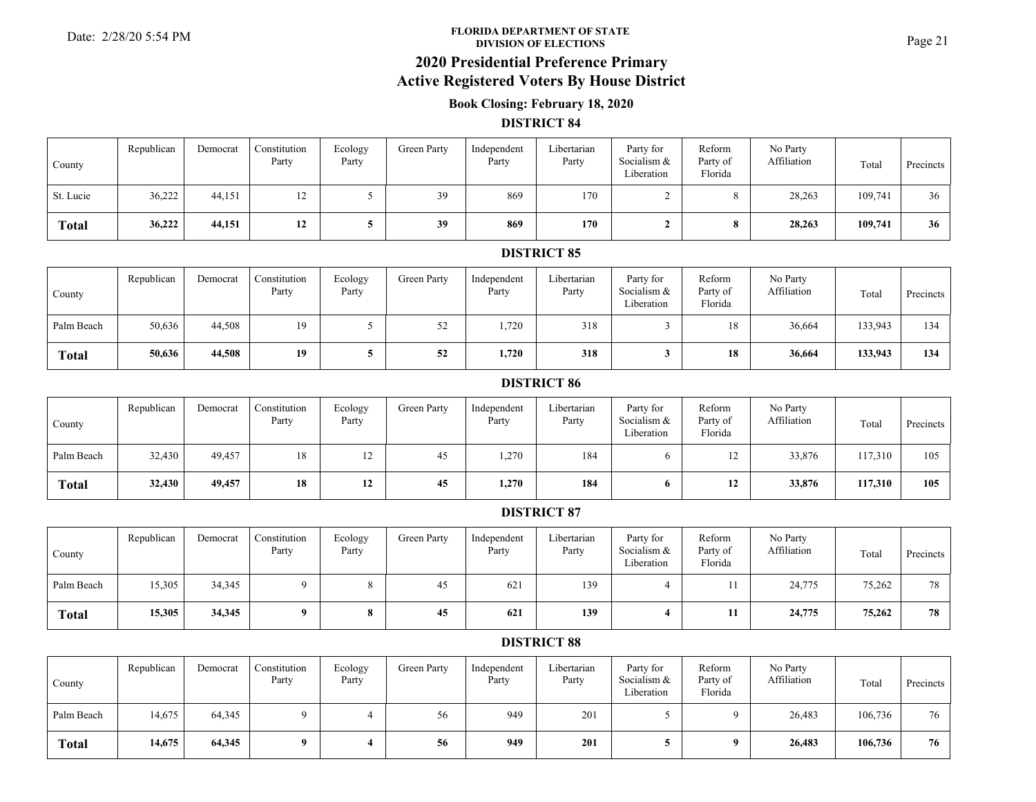#### **FLORIDA DEPARTMENT OF STATE**Date: 2/28/20 5:54 PM **Property of STATE** Property of STATE Property of STATE Page 21

# **2020 Presidential Preference Primary**

# **Active Registered Voters By House District**

### **Book Closing: February 18, 2020**

#### **DISTRICT 84**

| County       | Republican | Democrat | Constitution<br>Party | Ecology<br>Party | Green Party | Independent<br>Party | Libertarian<br>Party | Party for<br>Socialism &<br>Liberation | Reform<br>Party of<br>Florida | No Party<br>Affiliation | Total   | Precincts |
|--------------|------------|----------|-----------------------|------------------|-------------|----------------------|----------------------|----------------------------------------|-------------------------------|-------------------------|---------|-----------|
| St. Lucie    | 36,222     | 44,151   | 12                    |                  | 39          | 869                  | 170                  |                                        |                               | 28,263                  | 109,741 | 36        |
| <b>Total</b> | 36,222     | 44,151   | 12                    |                  | 39          | 869                  | 170                  |                                        |                               | 28,263                  | 109,741 | 36        |

#### **DISTRICT 85**

| County       | Republican | Democrat | Constitution<br>Party | Ecology<br>Party | Green Party | Independent<br>Party | Libertarian<br>Party | Party for<br>Socialism &<br>Liberation | Reform<br>Party of<br>Florida | No Party<br>Affiliation | Total   | Precincts |
|--------------|------------|----------|-----------------------|------------------|-------------|----------------------|----------------------|----------------------------------------|-------------------------------|-------------------------|---------|-----------|
| Palm Beach   | 50,636     | 44,508   | 19                    |                  | 50<br>ے ر   | 1,720                | 318                  |                                        | 18                            | 36,664                  | 133,943 | 134       |
| <b>Total</b> | 50,636     | 44,508   | 19                    |                  | 52          | 1,720                | 318                  |                                        | 18                            | 36,664                  | 133,943 | 134       |

#### **DISTRICT 86**

| County       | Republican | Democrat | Constitution<br>Party | Ecology<br>Party | Green Party | Independent<br>Party | Libertarian<br>Party | Party for<br>Socialism &<br>Liberation | Reform<br>Party of<br>Florida | No Party<br>Affiliation | Total   | Precincts |
|--------------|------------|----------|-----------------------|------------------|-------------|----------------------|----------------------|----------------------------------------|-------------------------------|-------------------------|---------|-----------|
| Palm Beach   | 32,430     | 49,457   | 18                    | ⊥∠               | 45          | 1,270                | 184                  |                                        | $\overline{1}$                | 33,876                  | 117.310 | 105       |
| <b>Total</b> | 32,430     | 49,457   | 18                    | 12               | 45          | 1,270                | 184                  |                                        | 12                            | 33,876                  | 117,310 | 105       |

#### **DISTRICT 87**

| County       | Republican | Democrat | Constitution<br>Party | Ecology<br>Party      | Green Party | Independent<br>Party | Libertarian<br>Party | Party for<br>Socialism &<br>Liberation | Reform<br>Party of<br>Florida | No Party<br>Affiliation | Total  | Precincts |
|--------------|------------|----------|-----------------------|-----------------------|-------------|----------------------|----------------------|----------------------------------------|-------------------------------|-------------------------|--------|-----------|
| Palm Beach   | 15,305     | 34,345   | $^{\circ}$            |                       | 45          | 62                   | 139                  |                                        |                               | 24,775                  | 75,262 | 78        |
| <b>Total</b> | 15,305     | 34,345   | $\Omega$              | $\Omega$<br>$\bullet$ | 45          | 621                  | 139                  |                                        |                               | 24,775                  | 75,262 | 78        |

| County       | Republican | Democrat | Constitution<br>Party | Ecology<br>Party | Green Party | Independent<br>Party | Libertarian<br>Party | Party for<br>Socialism &<br>Liberation | Reform<br>Party of<br>Florida | No Party<br>Affiliation | Total   | Precincts |
|--------------|------------|----------|-----------------------|------------------|-------------|----------------------|----------------------|----------------------------------------|-------------------------------|-------------------------|---------|-----------|
| Palm Beach   | 14,675     | 64,345   |                       |                  | 56          | 949                  | 201                  |                                        |                               | 26,483                  | 106,736 | 76        |
| <b>Total</b> | 14,675     | 64,345   |                       |                  | 56          | 949                  | 201                  |                                        |                               | 26,483                  | 106,736 | 76        |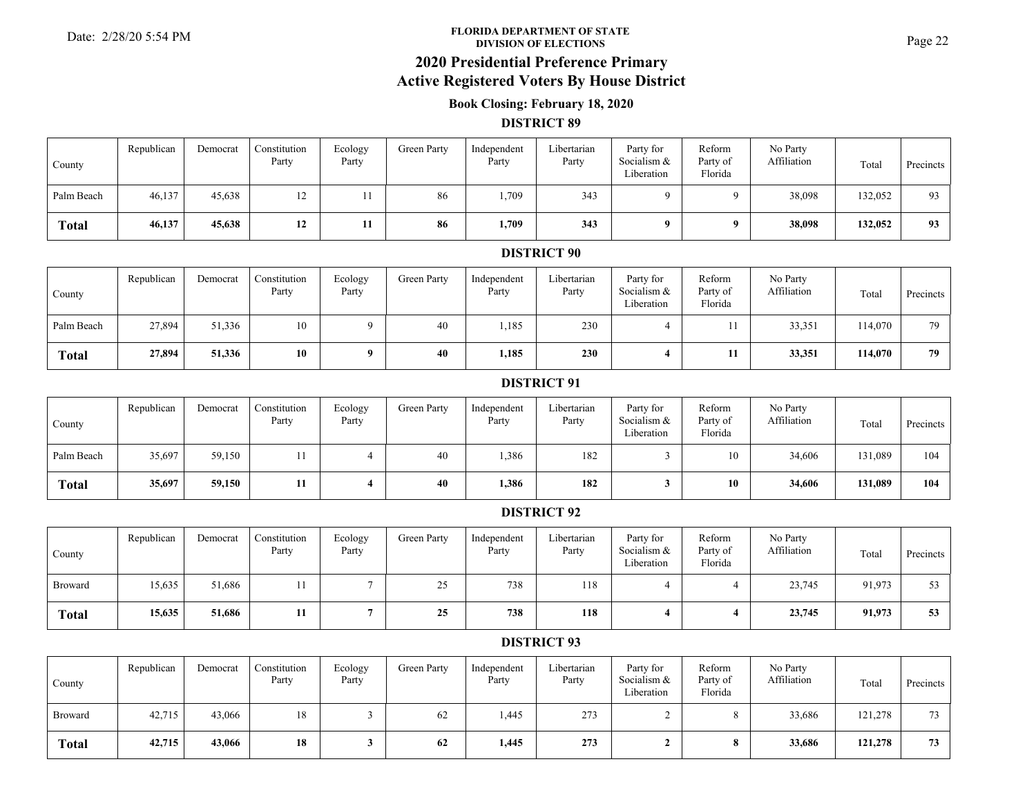#### **FLORIDA DEPARTMENT OF STATE**Date: 2/28/20 5:54 PM Page 22<br>DIVISION OF ELECTIONS

# **2020 Presidential Preference Primary**

## **Active Registered Voters By House District**

### **Book Closing: February 18, 2020**

#### **DISTRICT 89**

| County       | Republican | Democrat | Constitution<br>Party | Ecology<br>Party | Green Party | Independent<br>Party | Libertarian<br>Party | Party for<br>Socialism &<br>Liberation | Reform<br>Party of<br>Florida | No Party<br>Affiliation | Total   | <b>Precincts</b> |
|--------------|------------|----------|-----------------------|------------------|-------------|----------------------|----------------------|----------------------------------------|-------------------------------|-------------------------|---------|------------------|
| Palm Beach   | 46,137     | 45,638   | 12                    |                  | 86          | 1,709                | 343                  | $^{\circ}$                             |                               | 38,098                  | 132,052 | 93               |
| <b>Total</b> | 46,137     | 45,638   | 12                    |                  | 86          | 1,709                | 343                  | $\mathbf{a}$                           |                               | 38,098                  | 132,052 | 93               |

#### **DISTRICT 90**

| County       | Republican | Democrat | Constitution<br>Party | Ecology<br>Party | Green Party | Independent<br>Party | Libertarian<br>Party | Party for<br>Socialism &<br>Liberation | Reform<br>Party of<br>Florida | No Party<br>Affiliation | Total   | Precincts |
|--------------|------------|----------|-----------------------|------------------|-------------|----------------------|----------------------|----------------------------------------|-------------------------------|-------------------------|---------|-----------|
| Palm Beach   | 27,894     | 51,336   | 10                    |                  | 40          | 1,185                | 230                  |                                        |                               | 33,351                  | 114,070 | 79        |
| <b>Total</b> | 27,894     | 51,336   | 10                    | $\mathbf o$      | 40          | 1,185                | 230                  |                                        | 11                            | 33,351                  | 114,070 | 79        |

#### **DISTRICT 91**

| County       | Republican | Democrat | Constitution<br>Party | Ecology<br>Party | Green Party | Independent<br>Party | Libertarian<br>Party | Party for<br>Socialism &<br>Liberation | Reform<br>Party of<br>Florida | No Party<br>Affiliation | Total   | Precincts |
|--------------|------------|----------|-----------------------|------------------|-------------|----------------------|----------------------|----------------------------------------|-------------------------------|-------------------------|---------|-----------|
| Palm Beach   | 35,697     | 59,150   |                       |                  | 40          | 1,386                | 182                  |                                        |                               | 34,606                  | 131,089 | 104       |
| <b>Total</b> | 35,697     | 59,150   |                       |                  | 40          | 1,386                | 182                  |                                        | 10                            | 34,606                  | 131,089 | 104       |

### **DISTRICT 92**

| County         | Republican | Democrat | Constitution<br>Party | Ecology<br>Party | Green Party     | Independent<br>Party | Libertarian<br>Party | Party for<br>Socialism &<br>Liberation | Reform<br>Party of<br>Florida | No Party<br>Affiliation | Total  | Precincts |
|----------------|------------|----------|-----------------------|------------------|-----------------|----------------------|----------------------|----------------------------------------|-------------------------------|-------------------------|--------|-----------|
| <b>Broward</b> | 15,635     | 51,686   |                       |                  | $\gamma$<br>ں گ | 738                  | 118                  |                                        |                               | 23,745                  | 91,973 | 53        |
| <b>Total</b>   | 15,635     | 51,686   |                       |                  | 25              | 738                  | 118                  |                                        |                               | 23,745                  | 91,973 | 53        |

| County         | Republican | Democrat | Constitution<br>Party | Ecology<br>Party | Green Party | Independent<br>Party | Libertarian<br>Party | Party for<br>Socialism &<br>Liberation | Reform<br>Party of<br>Florida | No Party<br>Affiliation | Total   | Precincts |
|----------------|------------|----------|-----------------------|------------------|-------------|----------------------|----------------------|----------------------------------------|-------------------------------|-------------------------|---------|-----------|
| <b>Broward</b> | 42,715     | 43,066   | 18                    |                  | 62          | 1,445                | 273                  |                                        |                               | 33,686                  | 121,278 | 73        |
| <b>Total</b>   | 42,715     | 43,066   | 18                    |                  | 62          | 1,445                | 273                  |                                        |                               | 33,686                  | 121,278 | 73        |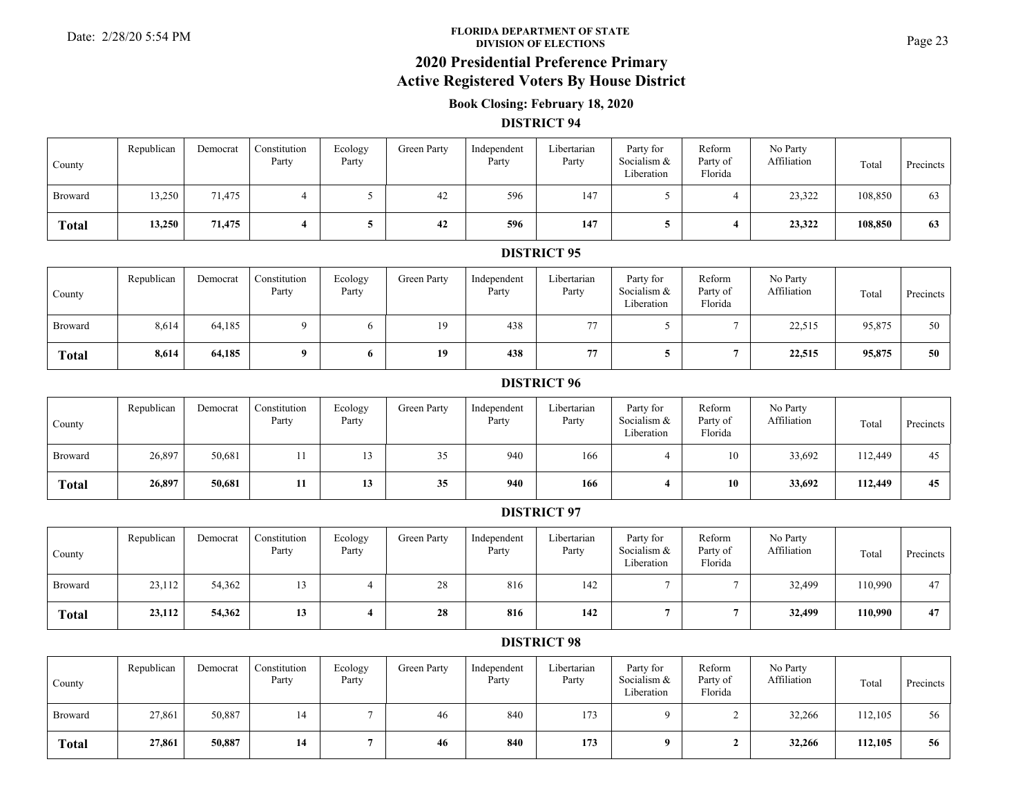#### **FLORIDA DEPARTMENT OF STATE**Date: 2/28/20 5:54 PM **Page 23**<br>DIVISION OF ELECTIONS

### **2020 Presidential Preference Primary Active Registered Voters By House District**

### **Book Closing: February 18, 2020**

#### **DISTRICT 94**

| County         | Republican | Democrat | Constitution<br>Party | Ecology<br>Party | Green Party | Independent<br>Party | Libertarian<br>Party | Party for<br>Socialism &<br>Liberation | Reform<br>Party of<br>Florida | No Party<br>Affiliation | Total   | Precincts |
|----------------|------------|----------|-----------------------|------------------|-------------|----------------------|----------------------|----------------------------------------|-------------------------------|-------------------------|---------|-----------|
| <b>Broward</b> | 13,250     | 71,475   |                       |                  | 42          | 596                  | 147                  |                                        |                               | 23,322                  | 108,850 | 63        |
| <b>Total</b>   | 13,250     | 71,475   |                       |                  | 42          | 596                  | 147                  |                                        |                               | 23,322                  | 108,850 | 63        |

#### **DISTRICT 95**

| County         | Republican | Democrat | Constitution<br>Party | Ecology<br>Party | Green Party    | Independent<br>Party | Libertarian<br>Party | Party for<br>Socialism &<br>Liberation | Reform<br>Party of<br>Florida | No Party<br>Affiliation | Total  | Precincts |
|----------------|------------|----------|-----------------------|------------------|----------------|----------------------|----------------------|----------------------------------------|-------------------------------|-------------------------|--------|-----------|
| <b>Broward</b> | 8,614      | 64,185   | $^{\circ}$            |                  | 1 <sub>Q</sub> | 438                  | 77                   |                                        |                               | 22,515                  | 95,875 | 50        |
| <b>Total</b>   | 8,614      | 64,185   | $\mathbf{a}$          | $\mathbf o$      | 19             | 438                  | 77                   |                                        |                               | 22,515                  | 95,875 | 50        |

#### **DISTRICT 96**

| County         | Republican | Democrat | Constitution<br>Party | Ecology<br>Party | Green Party | Independent<br>Party | Libertarian<br>Party | Party for<br>Socialism &<br>Liberation | Reform<br>Party of<br>Florida | No Party<br>Affiliation | Total   | Precincts |
|----------------|------------|----------|-----------------------|------------------|-------------|----------------------|----------------------|----------------------------------------|-------------------------------|-------------------------|---------|-----------|
| <b>Broward</b> | 26,897     | 50,681   |                       | 13               | 35          | 940                  | 166                  |                                        | 10                            | 33,692                  | 112,449 | 45        |
| <b>Total</b>   | 26,897     | 50,681   |                       | 13               | 35          | 940                  | 166                  |                                        | 10                            | 33,692                  | 112,449 | 45        |

#### **DISTRICT 97**

| County         | Republican | Democrat | Constitution<br>Party | Ecology<br>Party | Green Party | Independent<br>Party | Libertarian<br>Party | Party for<br>Socialism &<br>Liberation | Reform<br>Party of<br>Florida | No Party<br>Affiliation | Total   | Precincts |
|----------------|------------|----------|-----------------------|------------------|-------------|----------------------|----------------------|----------------------------------------|-------------------------------|-------------------------|---------|-----------|
| <b>Broward</b> | 23,112     | 54,362   | 13                    |                  | 28          | 816                  | 142                  |                                        |                               | 32,499                  | 110,990 | 47        |
| <b>Total</b>   | 23,112     | 54,362   | 13                    |                  | 28          | 816                  | 142                  |                                        |                               | 32,499                  | 110,990 | 47        |

| County         | Republican | Democrat | Constitution<br>Party | Ecology<br>Party | Green Party | Independent<br>Party | Libertarian<br>Party | Party for<br>Socialism &<br>Liberation | Reform<br>Party of<br>Florida | No Party<br>Affiliation | Total   | Precincts |
|----------------|------------|----------|-----------------------|------------------|-------------|----------------------|----------------------|----------------------------------------|-------------------------------|-------------------------|---------|-----------|
| <b>Broward</b> | 27,861     | 50,887   | 14                    |                  | 46          | 840                  | 173                  |                                        |                               | 32,266                  | 112,105 | 56        |
| <b>Total</b>   | 27,861     | 50,887   | 14                    |                  | 46          | 840                  | 173                  |                                        |                               | 32,266                  | 112,105 | 56        |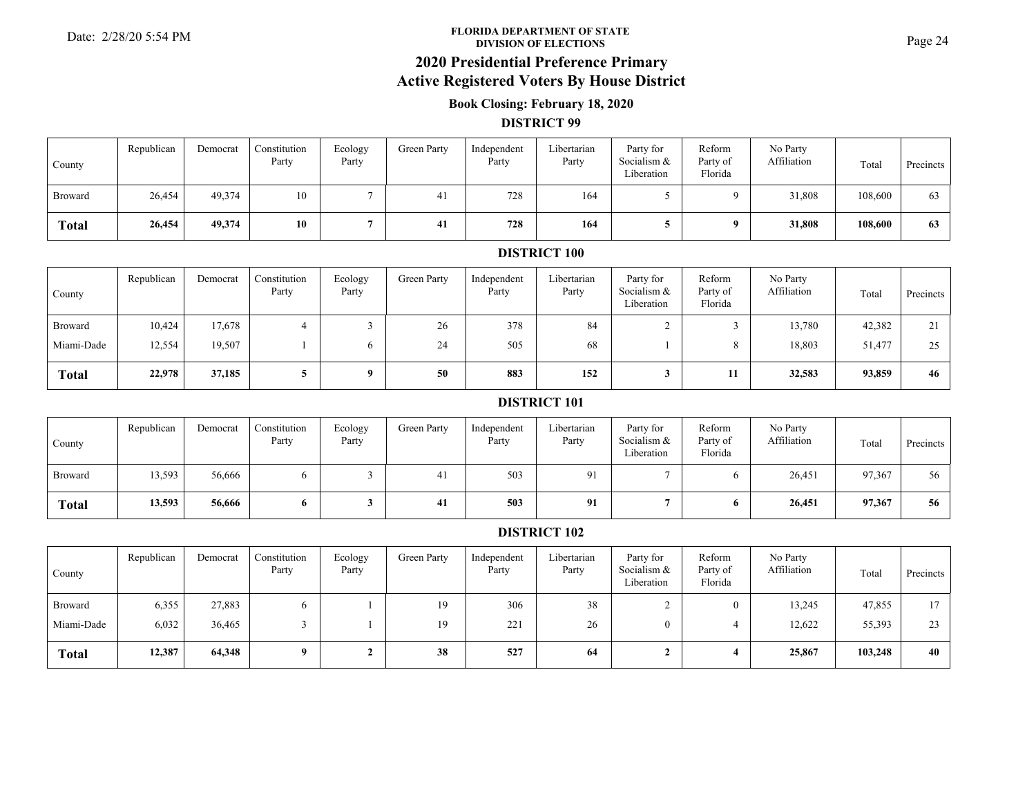#### **FLORIDA DEPARTMENT OF STATE**Date: 2/28/20 5:54 PM **Page 24**<br>DIVISION OF ELECTIONS

## **2020 Presidential Preference Primary**

### **Active Registered Voters By House District**

### **Book Closing: February 18, 2020**

#### **DISTRICT 99**

| County       | Republican | Democrat | Constitution<br>Party | Ecology<br>Party | Green Party | Independent<br>Party | Libertarian<br>Party | Party for<br>Socialism &<br>Liberation | Reform<br>Party of<br>Florida | No Party<br>Affiliation | Total   | Precincts |
|--------------|------------|----------|-----------------------|------------------|-------------|----------------------|----------------------|----------------------------------------|-------------------------------|-------------------------|---------|-----------|
| Broward      | 26,454     | 49,374   | 10                    |                  | -41         | 728                  | 164                  |                                        |                               | 31,808                  | 108,600 | 63        |
| <b>Total</b> | 26,454     | 49,374   | 10                    |                  | 41          | 728                  | 164                  |                                        |                               | 31,808                  | 108.600 | 63        |

#### **DISTRICT 100**

| County       | Republican | Democrat | Constitution<br>Party | Ecology<br>Party | Green Party | Independent<br>Party | Libertarian<br>Party | Party for<br>Socialism &<br>Liberation | Reform<br>Party of<br>Florida | No Party<br>Affiliation | Total  | Precincts |
|--------------|------------|----------|-----------------------|------------------|-------------|----------------------|----------------------|----------------------------------------|-------------------------------|-------------------------|--------|-----------|
| Broward      | 10,424     | 17,678   |                       |                  | 26          | 378                  | 84                   |                                        |                               | 13,780                  | 42,382 | 21        |
| Miami-Dade   | 12,554     | 19,507   |                       | <sub>0</sub>     | 24          | 505                  | 68                   |                                        |                               | 18,803                  | 51,477 | 25        |
| <b>Total</b> | 22,978     | 37,185   |                       | 9                | 50          | 883                  | 152                  |                                        | 11                            | 32,583                  | 93,859 | 46        |

#### **DISTRICT 101**

| County         | Republican | Democrat | Constitution<br>Party | Ecology<br>Party | Green Party | Independent<br>Party | Libertarian<br>Party | Party for<br>Socialism &<br>Liberation | Reform<br>Party of<br>Florida | No Party<br>Affiliation | Total  | Precincts |
|----------------|------------|----------|-----------------------|------------------|-------------|----------------------|----------------------|----------------------------------------|-------------------------------|-------------------------|--------|-----------|
| <b>Broward</b> | 13,593     | 56,666   | O.                    |                  | 41          | 503                  | $^{\Omega}1$         |                                        |                               | 26,451                  | 97,367 | 56        |
| <b>Total</b>   | 13,593     | 56,666   | 6                     |                  | 41          | 503                  | 91                   |                                        |                               | 26,451                  | 97,367 | 56        |

| County       | Republican | Democrat | Constitution<br>Party | Ecology<br>Party | Green Party | Independent<br>Party | Libertarian<br>Party | Party for<br>Socialism &<br>Liberation | Reform<br>Party of<br>Florida | No Party<br>Affiliation | Total   | Precincts |
|--------------|------------|----------|-----------------------|------------------|-------------|----------------------|----------------------|----------------------------------------|-------------------------------|-------------------------|---------|-----------|
| Broward      | 6,355      | 27,883   | h.                    |                  | 19          | 306                  | 38                   |                                        |                               | 13,245                  | 47,855  | 17        |
| Miami-Dade   | 6,032      | 36,465   |                       |                  | 19          | 221                  | 26                   | $\theta$                               |                               | 12,622                  | 55,393  | 23        |
| <b>Total</b> | 12,387     | 64,348   | $\mathbf{o}$          |                  | 38          | 527                  | -64                  |                                        |                               | 25,867                  | 103,248 | 40        |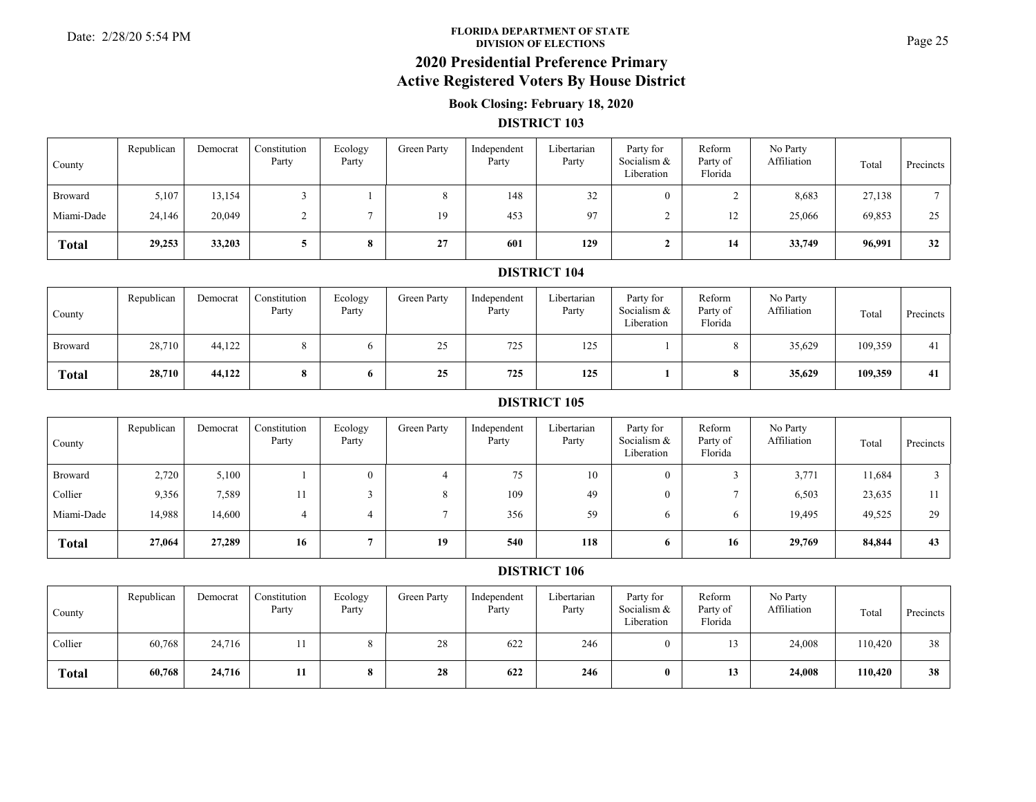#### **FLORIDA DEPARTMENT OF STATE**Date: 2/28/20 5:54 PM **Page 25**<br>DIVISION OF ELECTIONS

## **2020 Presidential Preference Primary**

### **Active Registered Voters By House District**

### **Book Closing: February 18, 2020**

#### **DISTRICT 103**

| County       | Republican | Democrat | Constitution<br>Party | Ecology<br>Party | Green Party | Independent<br>Party | Libertarian<br>Party | Party for<br>Socialism $&$<br>Liberation | Reform<br>Party of<br>Florida | No Party<br>Affiliation | Total  | Precincts |
|--------------|------------|----------|-----------------------|------------------|-------------|----------------------|----------------------|------------------------------------------|-------------------------------|-------------------------|--------|-----------|
| Broward      | 5,107      | 13,154   |                       |                  |             | 148                  | 32                   |                                          |                               | 8,683                   | 27,138 |           |
| Miami-Dade   | 24,146     | 20,049   |                       |                  | 19          | 453                  | 97                   |                                          | $\overline{ }$                | 25,066                  | 69,853 | 25        |
| <b>Total</b> | 29,253     | 33,203   |                       | $\mathbf o$      | 27          | 601                  | 129                  |                                          | 14                            | 33,749                  | 96,991 | 32        |

#### **DISTRICT 104**

| County         | Republican | Democrat | Constitution<br>Party | Ecology<br>Party | Green Party | Independent<br>Party | Libertarian<br>Party | Party for<br>Socialism &<br>Liberation | Reform<br>Party of<br>Florida | No Party<br>Affiliation | Total   | Precincts |
|----------------|------------|----------|-----------------------|------------------|-------------|----------------------|----------------------|----------------------------------------|-------------------------------|-------------------------|---------|-----------|
| <b>Broward</b> | 28,710     | 44,122   |                       |                  | 25<br>رے    | 725                  | 125                  |                                        |                               | 35,629                  | 109,359 | 41        |
| <b>Total</b>   | 28,710     | 44,122   | 8                     |                  | 25          | 725                  | 125                  |                                        |                               | 35,629                  | 109,359 | 41        |

#### **DISTRICT 105**

| County       | Republican | Democrat | Constitution<br>Party | Ecology<br>Party | Green Party | Independent<br>Party | Libertarian<br>Party | Party for<br>Socialism &<br>Liberation | Reform<br>Party of<br>Florida | No Party<br>Affiliation | Total  | Precincts |
|--------------|------------|----------|-----------------------|------------------|-------------|----------------------|----------------------|----------------------------------------|-------------------------------|-------------------------|--------|-----------|
| Broward      | 2,720      | 5,100    |                       |                  |             | 75                   | 10                   | $\overline{0}$                         |                               | 3,771                   | 11,684 |           |
| Collier      | 9,356      | 7,589    | 11                    |                  |             | 109                  | 49                   | $\left( \right)$                       |                               | 6,503                   | 23,635 |           |
| Miami-Dade   | 14,988     | 14,600   | 4                     | 4                |             | 356                  | 59                   | 6                                      | 6.                            | 19,495                  | 49,525 | 29        |
| <b>Total</b> | 27,064     | 27,289   | 16                    |                  | 19          | 540                  | 118                  | 6                                      | 16                            | 29,769                  | 84,844 | 43        |

| County       | Republican | Democrat | Constitution<br>Party | Ecology<br>Party | Green Party | Independent<br>Party | Libertarian<br>Party | Party for<br>Socialism $&$<br>Liberation | Reform<br>Party of<br>Florida | No Party<br>Affiliation | Total   | <b>Precincts</b> |
|--------------|------------|----------|-----------------------|------------------|-------------|----------------------|----------------------|------------------------------------------|-------------------------------|-------------------------|---------|------------------|
| Collier      | 60,768     | 24,716   |                       |                  | 28          | 622                  | 246                  |                                          |                               | 24,008                  | 110,420 | 38               |
| <b>Total</b> | 60,768     | 24,716   |                       |                  | 28          | 622                  | 246                  | $\mathbf{0}$                             | 13                            | 24,008                  | 110.420 | 38               |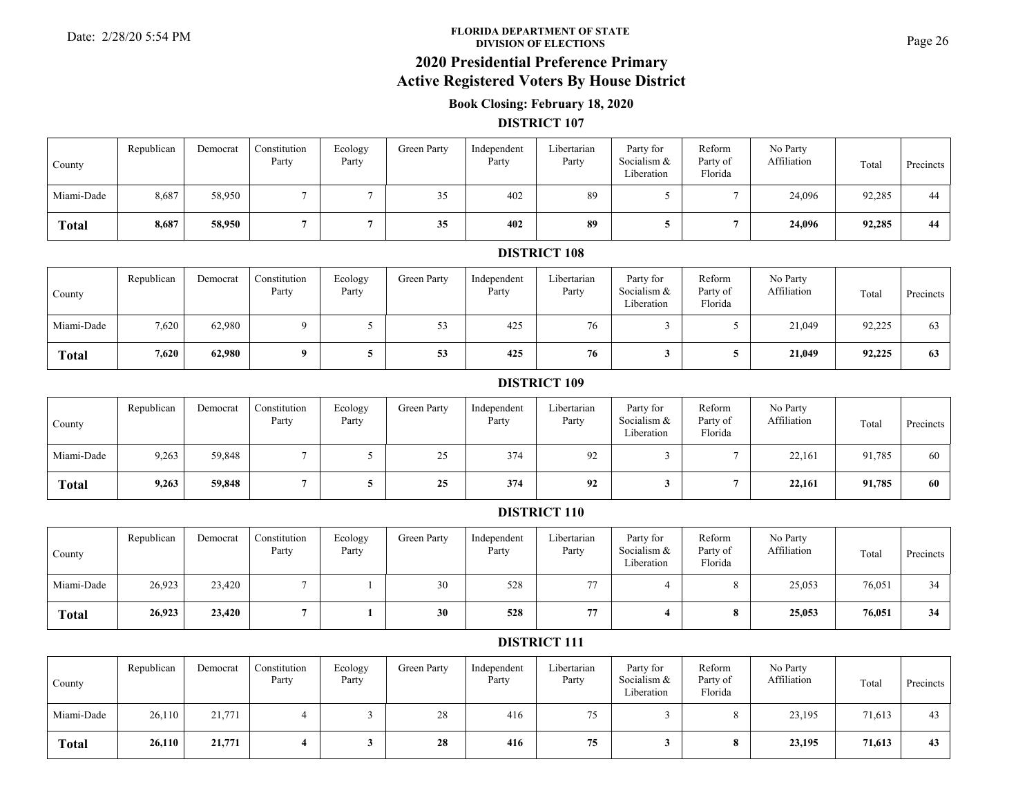#### **FLORIDA DEPARTMENT OF STATE**Date: 2/28/20 5:54 PM **Page 26**<br>DIVISION OF ELECTIONS

# **2020 Presidential Preference Primary**

# **Active Registered Voters By House District**

### **Book Closing: February 18, 2020**

#### **DISTRICT 107**

| County       | Republican | Democrat | Constitution<br>Party | Ecology<br>Party | Green Party | Independent<br>Party | Libertarian<br>Party | Party for<br>Socialism &<br>Liberation | Reform<br>Party of<br>Florida | No Party<br>Affiliation | Total  | Precincts |
|--------------|------------|----------|-----------------------|------------------|-------------|----------------------|----------------------|----------------------------------------|-------------------------------|-------------------------|--------|-----------|
| Miami-Dade   | 8,687      | 58,950   |                       |                  | 35          | 402                  | 89                   |                                        |                               | 24,096                  | 92,285 | 44        |
| <b>Total</b> | 8,687      | 58,950   |                       |                  | 35          | 402                  | 89                   |                                        |                               | 24,096                  | 92,285 | 44        |

### **DISTRICT 108**

| County       | Republican | Democrat | Constitution<br>Party | Ecology<br>Party | Green Party | Independent<br>Party | Libertarian<br>Party | Party for<br>Socialism &<br>Liberation | Reform<br>Party of<br>Florida | No Party<br>Affiliation | Total  | Precincts |
|--------------|------------|----------|-----------------------|------------------|-------------|----------------------|----------------------|----------------------------------------|-------------------------------|-------------------------|--------|-----------|
| Miami-Dade   | 7,620      | 62,980   |                       |                  | ر ر         | 425                  | 76                   |                                        |                               | 21,049                  | 92,225 | 63        |
| <b>Total</b> | 7,620      | 62,980   |                       |                  | 53          | 425                  | 76                   |                                        |                               | 21,049                  | 92,225 | 63        |

#### **DISTRICT 109**

| County       | Republican | Democrat | Constitution<br>Party | Ecology<br>Party | Green Party     | Independent<br>Party | Libertarian<br>Party | Party for<br>Socialism &<br>Liberation | Reform<br>Party of<br>Florida | No Party<br>Affiliation | Total  | Precincts |
|--------------|------------|----------|-----------------------|------------------|-----------------|----------------------|----------------------|----------------------------------------|-------------------------------|-------------------------|--------|-----------|
| Miami-Dade   | 9,263      | 59,848   |                       |                  | $\gamma$<br>ر _ | 374                  | 92                   |                                        |                               | 22,161                  | 91,785 | 60        |
| <b>Total</b> | 9,263      | 59,848   |                       |                  | 25              | 374                  | 92                   |                                        |                               | 22,161                  | 91,785 | 60        |

#### **DISTRICT 110**

| County       | Republican | Democrat | Constitution<br>Party | Ecology<br>Party | Green Party | Independent<br>Party | Libertarian<br>Party | Party for<br>Socialism &<br>Liberation | Reform<br>Party of<br>Florida | No Party<br>Affiliation | Total  | Precincts |
|--------------|------------|----------|-----------------------|------------------|-------------|----------------------|----------------------|----------------------------------------|-------------------------------|-------------------------|--------|-----------|
| Miami-Dade   | 26,923     | 23,420   |                       |                  | 30          | 528                  | 77                   |                                        |                               | 25,053                  | 76,051 | 34        |
| <b>Total</b> | 26,923     | 23,420   |                       |                  | 30          | 528                  | 77                   |                                        |                               | 25,053                  | 76,051 | 34        |

| County       | Republican | Democrat | Constitution<br>Party | Ecology<br>Party | Green Party | Independent<br>Party | Libertarian<br>Party | Party for<br>Socialism &<br>Liberation | Reform<br>Party of<br>Florida | No Party<br>Affiliation | Total  | Precincts |
|--------------|------------|----------|-----------------------|------------------|-------------|----------------------|----------------------|----------------------------------------|-------------------------------|-------------------------|--------|-----------|
| Miami-Dade   | 26,110     | 21,771   |                       |                  | 28          | 416                  | 75<br>ر ،            |                                        |                               | 23,195                  | 71,613 | 43        |
| <b>Total</b> | 26,110     | 21,771   |                       |                  | 28          | 416                  | 75                   |                                        |                               | 23,195                  | 71,613 | 43        |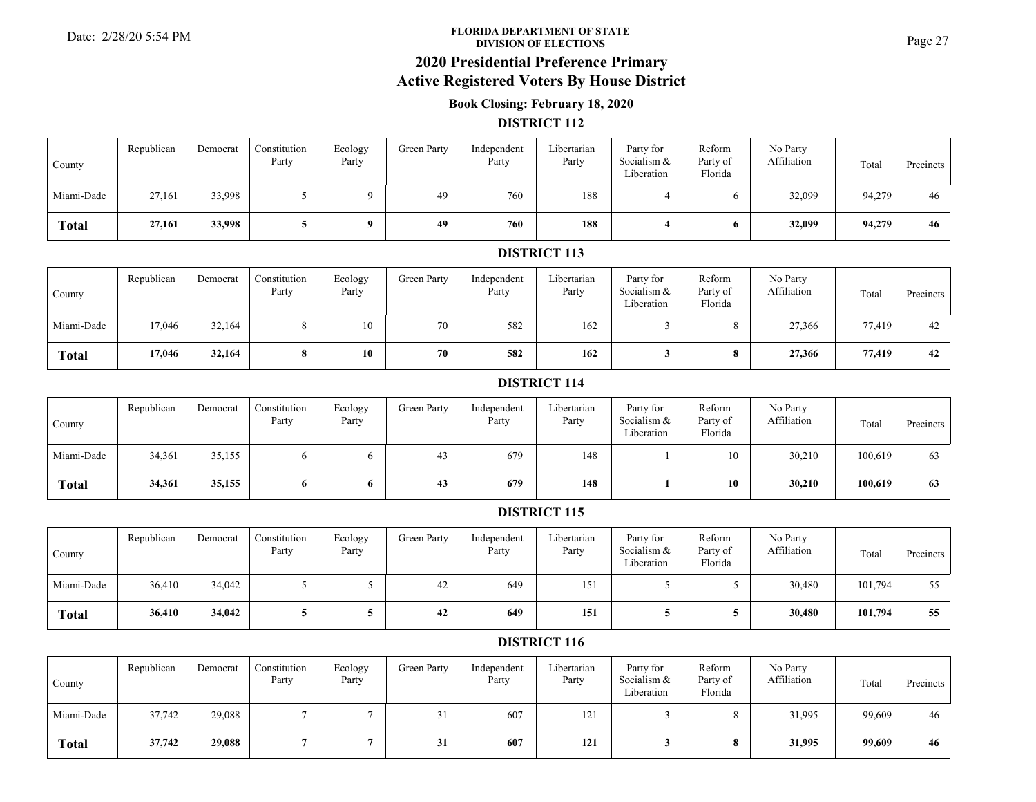#### **FLORIDA DEPARTMENT OF STATE**Date: 2/28/20 5:54 PM **Page 27**<br>DIVISION OF ELECTIONS

### **2020 Presidential Preference Primary Active Registered Voters By House District**

### **Book Closing: February 18, 2020**

#### **DISTRICT 112**

| County       | Republican | Democrat | Constitution<br>Party | Ecology<br>Party | Green Party | Independent<br>Party | Libertarian<br>Party | Party for<br>Socialism &<br>Liberation | Reform<br>Party of<br>Florida | No Party<br>Affiliation | Total  | Precincts |
|--------------|------------|----------|-----------------------|------------------|-------------|----------------------|----------------------|----------------------------------------|-------------------------------|-------------------------|--------|-----------|
| Miami-Dade   | 27,161     | 33,998   |                       |                  | 49          | 760                  | 188                  |                                        |                               | 32,099                  | 94,279 | 46        |
| <b>Total</b> | 27,161     | 33,998   |                       |                  | 49          | 760                  | 188                  |                                        |                               | 32,099                  | 94,279 | 46        |

#### **DISTRICT 113**

| County       | Republican | Democrat | Constitution<br>Party | Ecology<br>Party | Green Party | Independent<br>Party | Libertarian<br>Party | Party for<br>Socialism &<br>Liberation | Reform<br>Party of<br>Florida | No Party<br>Affiliation | Total  | Precincts |
|--------------|------------|----------|-----------------------|------------------|-------------|----------------------|----------------------|----------------------------------------|-------------------------------|-------------------------|--------|-----------|
| Miami-Dade   | 17,046     | 32,164   |                       | 10               | 70          | 582                  | 162                  |                                        |                               | 27,366                  | 77,419 | 42        |
| <b>Total</b> | 17,046     | 32,164   |                       | 10               | 70          | 582                  | 162                  |                                        |                               | 27,366                  | 77,419 | 42        |

#### **DISTRICT 114**

| County       | Republican | Democrat | Constitution<br>Party | Ecology<br>Party | Green Party | Independent<br>Party | Libertarian<br>Party | Party for<br>Socialism &<br>Liberation | Reform<br>Party of<br>Florida | No Party<br>Affiliation | Total   | Precincts |
|--------------|------------|----------|-----------------------|------------------|-------------|----------------------|----------------------|----------------------------------------|-------------------------------|-------------------------|---------|-----------|
| Miami-Dade   | 34,361     | 35,155   | 6.                    |                  | 43          | 679                  | 148                  |                                        | 10                            | 30,210                  | 100,619 | 63        |
| <b>Total</b> | 34,361     | 35,155   | 6                     |                  | 43          | 679                  | 148                  |                                        | 10                            | 30,210                  | 100.619 | 63        |

#### **DISTRICT 115**

| County       | Republican | Democrat | Constitution<br>Party | Ecology<br>Party | Green Party | Independent<br>Party | Libertarian<br>Party | Party for<br>Socialism &<br>Liberation | Reform<br>Party of<br>Florida | No Party<br>Affiliation | Total   | Precincts |
|--------------|------------|----------|-----------------------|------------------|-------------|----------------------|----------------------|----------------------------------------|-------------------------------|-------------------------|---------|-----------|
| Miami-Dade   | 36,410     | 34,042   |                       |                  | 42          | 649                  | 151                  |                                        |                               | 30,480                  | 101,794 | 55        |
| <b>Total</b> | 36,410     | 34,042   |                       |                  | 42          | 649                  | 151                  |                                        |                               | 30,480                  | 101,794 | 55        |

| County       | Republican | Democrat | Constitution<br>Party | Ecology<br>Party | Green Party | Independent<br>Party | Libertarian<br>Party | Party for<br>Socialism &<br>Liberation | Reform<br>Party of<br>Florida | No Party<br>Affiliation | Total  | Precincts |
|--------------|------------|----------|-----------------------|------------------|-------------|----------------------|----------------------|----------------------------------------|-------------------------------|-------------------------|--------|-----------|
| Miami-Dade   | 37,742     | 29,088   |                       |                  | ر ر         | 607                  | 121                  |                                        |                               | 31,995                  | 99,609 | 46        |
| <b>Total</b> | 37,742     | 29,088   |                       |                  | 31          | 607                  | 121                  |                                        |                               | 31,995                  | 99,609 | 46        |